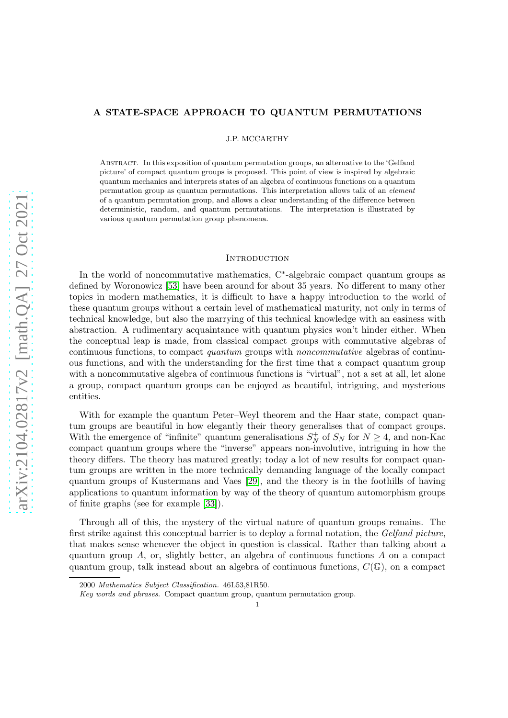# A STATE-SPACE APPROACH TO QUANTUM PERMUTATIONS

J.P. MCCARTHY

Abstract. In this exposition of quantum permutation groups, an alternative to the 'Gelfand picture' of compact quantum groups is proposed. This point of view is inspired by algebraic quantum mechanics and interprets states of an algebra of continuous functions on a quantum permutation group as quantum permutations. This interpretation allows talk of an element of a quantum permutation group, and allows a clear understanding of the difference between deterministic, random, and quantum permutations. The interpretation is illustrated by various quantum permutation group phenomena.

# **INTRODUCTION**

In the world of noncommutative mathematics, C<sup>∗</sup> -algebraic compact quantum groups as defined by Woronowicz [\[53\]](#page-33-0) have been around for about 35 years. No different to many other topics in modern mathematics, it is difficult to have a happy introduction to the world of these quantum groups without a certain level of mathematical maturity, not only in terms of technical knowledge, but also the marrying of this technical knowledge with an easiness with abstraction. A rudimentary acquaintance with quantum physics won't hinder either. When the conceptual leap is made, from classical compact groups with commutative algebras of continuous functions, to compact quantum groups with noncommutative algebras of continuous functions, and with the understanding for the first time that a compact quantum group with a noncommutative algebra of continuous functions is "virtual", not a set at all, let alone a group, compact quantum groups can be enjoyed as beautiful, intriguing, and mysterious entities.

With for example the quantum Peter–Weyl theorem and the Haar state, compact quantum groups are beautiful in how elegantly their theory generalises that of compact groups. With the emergence of "infinite" quantum generalisations  $S_N^+$  $_N^+$  of  $S_N$  for  $N \geq 4$ , and non-Kac compact quantum groups where the "inverse" appears non-involutive, intriguing in how the theory differs. The theory has matured greatly; today a lot of new results for compact quantum groups are written in the more technically demanding language of the locally compact quantum groups of Kustermans and Vaes [\[29\]](#page-32-0), and the theory is in the foothills of having applications to quantum information by way of the theory of quantum automorphism groups of finite graphs (see for example [\[33\]](#page-32-1)).

Through all of this, the mystery of the virtual nature of quantum groups remains. The first strike against this conceptual barrier is to deploy a formal notation, the Gelfand picture, that makes sense whenever the object in question is classical. Rather than talking about a quantum group  $A$ , or, slightly better, an algebra of continuous functions  $A$  on a compact quantum group, talk instead about an algebra of continuous functions,  $C(\mathbb{G})$ , on a compact

<sup>2000</sup> Mathematics Subject Classification. 46L53,81R50.

Key words and phrases. Compact quantum group, quantum permutation group.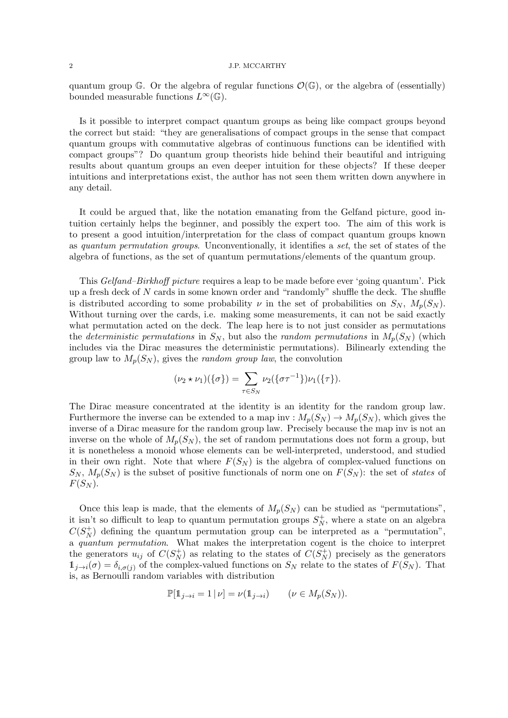quantum group G. Or the algebra of regular functions  $\mathcal{O}(\mathbb{G})$ , or the algebra of (essentially) bounded measurable functions  $L^{\infty}(\mathbb{G})$ .

Is it possible to interpret compact quantum groups as being like compact groups beyond the correct but staid: "they are generalisations of compact groups in the sense that compact quantum groups with commutative algebras of continuous functions can be identified with compact groups"? Do quantum group theorists hide behind their beautiful and intriguing results about quantum groups an even deeper intuition for these objects? If these deeper intuitions and interpretations exist, the author has not seen them written down anywhere in any detail.

It could be argued that, like the notation emanating from the Gelfand picture, good intuition certainly helps the beginner, and possibly the expert too. The aim of this work is to present a good intuition/interpretation for the class of compact quantum groups known as quantum permutation groups. Unconventionally, it identifies a set, the set of states of the algebra of functions, as the set of quantum permutations/elements of the quantum group.

This *Gelfand–Birkhoff picture* requires a leap to be made before ever 'going quantum'. Pick up a fresh deck of N cards in some known order and "randomly" shuffle the deck. The shuffle is distributed according to some probability  $\nu$  in the set of probabilities on  $S_N$ ,  $M_n(S_N)$ . Without turning over the cards, i.e. making some measurements, it can not be said exactly what permutation acted on the deck. The leap here is to not just consider as permutations the deterministic permutations in  $S_N$ , but also the random permutations in  $M_p(S_N)$  (which includes via the Dirac measures the deterministic permutations). Bilinearly extending the group law to  $M_p(S_N)$ , gives the *random group law*, the convolution

$$
(\nu_2 * \nu_1)(\{\sigma\}) = \sum_{\tau \in S_N} \nu_2(\{\sigma\tau^{-1}\})\nu_1(\{\tau\}).
$$

The Dirac measure concentrated at the identity is an identity for the random group law. Furthermore the inverse can be extended to a map inv :  $M_p(S_N) \to M_p(S_N)$ , which gives the inverse of a Dirac measure for the random group law. Precisely because the map inv is not an inverse on the whole of  $M_p(S_N)$ , the set of random permutations does not form a group, but it is nonetheless a monoid whose elements can be well-interpreted, understood, and studied in their own right. Note that where  $F(S_N)$  is the algebra of complex-valued functions on  $S_N$ ,  $M_p(S_N)$  is the subset of positive functionals of norm one on  $F(S_N)$ : the set of states of  $F(S_N)$ .

Once this leap is made, that the elements of  $M_p(S_N)$  can be studied as "permutations", it isn't so difficult to leap to quantum permutation groups  $S_N^+$  $_N^+$ , where a state on an algebra  $C(S_N^+$  $_N^+$ ) defining the quantum permutation group can be interpreted as a "permutation", a quantum permutation. What makes the interpretation cogent is the choice to interpret the generators  $u_{ij}$  of  $C(S_N^+)$  as relating to the states of  $C(S_N^+)$  precisely as the generators  $1_{j\to i}(\sigma) = \delta_{i,\sigma(j)}$  of the complex-valued functions on  $S_N$  relate to the states of  $F(S_N)$ . That is, as Bernoulli random variables with distribution

$$
\mathbb{P}[\mathbb{1}_{j \to i} = 1 \,|\, \nu] = \nu(\mathbb{1}_{j \to i}) \qquad (\nu \in M_p(S_N)).
$$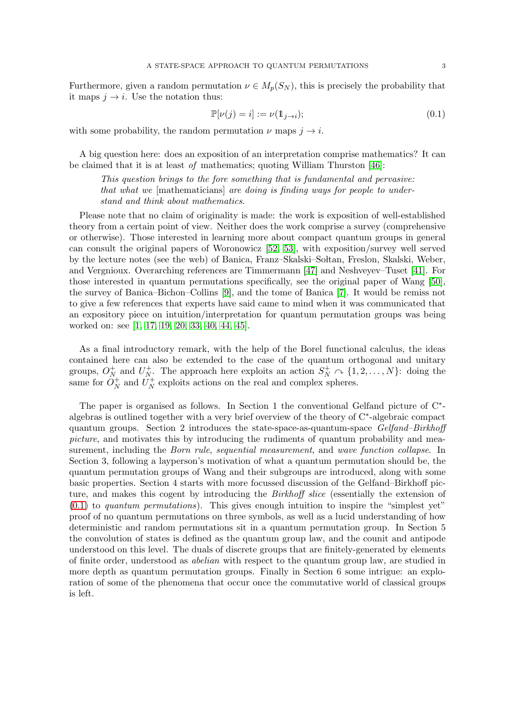Furthermore, given a random permutation  $\nu \in M_p(S_N)$ , this is precisely the probability that it maps  $j \rightarrow i$ . Use the notation thus:

<span id="page-2-0"></span>
$$
\mathbb{P}[\nu(j) = i] := \nu(\mathbb{1}_{j \to i});\tag{0.1}
$$

with some probability, the random permutation  $\nu$  maps  $j \to i$ .

A big question here: does an exposition of an interpretation comprise mathematics? It can be claimed that it is at least of mathematics; quoting William Thurston [\[46\]](#page-33-1):

This question brings to the fore something that is fundamental and pervasive: that what we [mathematicians] are doing is finding ways for people to understand and think about mathematics.

Please note that no claim of originality is made: the work is exposition of well-established theory from a certain point of view. Neither does the work comprise a survey (comprehensive or otherwise). Those interested in learning more about compact quantum groups in general can consult the original papers of Woronowicz [\[52,](#page-33-2) [53\]](#page-33-0), with exposition/survey well served by the lecture notes (see the web) of Banica, Franz–Skalski–Soltan, Freslon, Skalski, Weber, and Vergnioux. Overarching references are Timmermann [\[47\]](#page-33-3) and Neshveyev–Tuset [\[41\]](#page-33-4). For those interested in quantum permutations specifically, see the original paper of Wang [\[50\]](#page-33-5), the survey of Banica–Bichon–Collins [\[9\]](#page-31-0), and the tome of Banica [\[7\]](#page-31-1). It would be remiss not to give a few references that experts have said came to mind when it was communicated that an expository piece on intuition/interpretation for quantum permutation groups was being worked on: see [\[1,](#page-31-2) [17,](#page-32-2) [19,](#page-32-3) [20,](#page-32-4) [33,](#page-32-1) [40,](#page-32-5) [44,](#page-33-6) [45\]](#page-33-7).

As a final introductory remark, with the help of the Borel functional calculus, the ideas contained here can also be extended to the case of the quantum orthogonal and unitary groups,  $O_N^+$  $_{N}^{+}$  and  $U_{N}^{+}$ <sup>+</sup><sub>N</sub>. The approach here exploits an action  $S_N^+ \cap \{1, 2, ..., N\}$ : doing the same for  $O_N^+$  $N^+$  and  $U_N^+$  $N<sub>N</sub><sup>+</sup>$  exploits actions on the real and complex spheres.

The paper is organised as follows. In Section 1 the conventional Gelfand picture of C<sup>∗</sup>algebras is outlined together with a very brief overview of the theory of C<sup>∗</sup> -algebraic compact quantum groups. Section 2 introduces the state-space-as-quantum-space Gelfand–Birkhoff picture, and motivates this by introducing the rudiments of quantum probability and measurement, including the *Born rule, sequential measurement*, and *wave function collapse*. In Section 3, following a layperson's motivation of what a quantum permutation should be, the quantum permutation groups of Wang and their subgroups are introduced, along with some basic properties. Section 4 starts with more focussed discussion of the Gelfand–Birkhoff picture, and makes this cogent by introducing the *Birkhoff slice* (essentially the extension of  $(0.1)$  to quantum permutations). This gives enough intuition to inspire the "simplest yet" proof of no quantum permutations on three symbols, as well as a lucid understanding of how deterministic and random permutations sit in a quantum permutation group. In Section 5 the convolution of states is defined as the quantum group law, and the counit and antipode understood on this level. The duals of discrete groups that are finitely-generated by elements of finite order, understood as abelian with respect to the quantum group law, are studied in more depth as quantum permutation groups. Finally in Section 6 some intrigue: an exploration of some of the phenomena that occur once the commutative world of classical groups is left.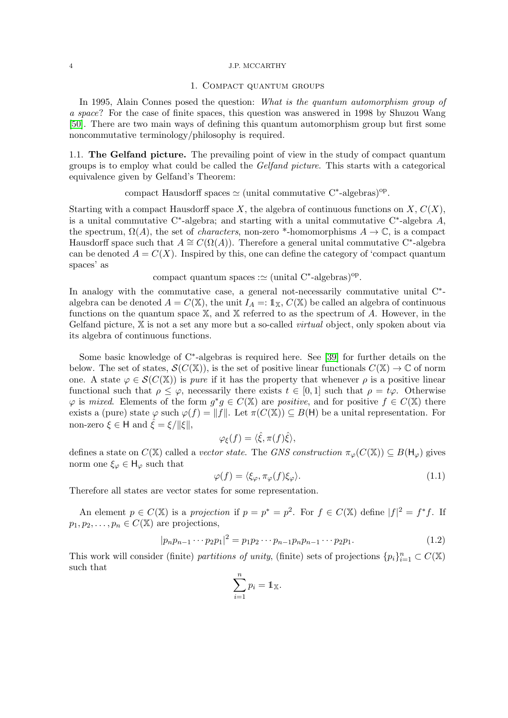## 1. Compact quantum groups

In 1995, Alain Connes posed the question: What is the quantum automorphism group of a space? For the case of finite spaces, this question was answered in 1998 by Shuzou Wang [\[50\]](#page-33-5). There are two main ways of defining this quantum automorphism group but first some noncommutative terminology/philosophy is required.

1.1. The Gelfand picture. The prevailing point of view in the study of compact quantum groups is to employ what could be called the Gelfand picture. This starts with a categorical equivalence given by Gelfand's Theorem:

compact Hausdorff spaces  $\simeq$  (unital commutative C<sup>\*</sup>-algebras)<sup>op</sup>.

Starting with a compact Hausdorff space X, the algebra of continuous functions on  $X, C(X)$ , is a unital commutative C<sup>∗</sup> -algebra; and starting with a unital commutative C<sup>∗</sup> -algebra A, the spectrum,  $\Omega(A)$ , the set of *characters*, non-zero \*-homomorphisms  $A \to \mathbb{C}$ , is a compact Hausdorff space such that  $A \cong C(\Omega(A))$ . Therefore a general unital commutative C<sup>\*</sup>-algebra can be denoted  $A = C(X)$ . Inspired by this, one can define the category of 'compact quantum spaces' as

compact quantum spaces : $\simeq$  (unital C<sup>\*</sup>-algebras)<sup>op</sup>.

In analogy with the commutative case, a general not-necessarily commutative unital  $C^*$ algebra can be denoted  $A = C(\mathbb{X})$ , the unit  $I_A =: \mathbb{1}_{\mathbb{X}}, C(\mathbb{X})$  be called an algebra of continuous functions on the quantum space  $X$ , and  $X$  referred to as the spectrum of  $A$ . However, in the Gelfand picture,  $X$  is not a set any more but a so-called *virtual* object, only spoken about via its algebra of continuous functions.

Some basic knowledge of C<sup>∗</sup> -algebras is required here. See [\[39\]](#page-32-6) for further details on the below. The set of states,  $\mathcal{S}(C(\mathbb{X}))$ , is the set of positive linear functionals  $C(\mathbb{X}) \to \mathbb{C}$  of norm one. A state  $\varphi \in \mathcal{S}(C(\mathbb{X}))$  is *pure* if it has the property that whenever  $\rho$  is a positive linear functional such that  $\rho \leq \varphi$ , necessarily there exists  $t \in [0,1]$  such that  $\rho = t\varphi$ . Otherwise  $\varphi$  is mixed. Elements of the form  $g^*g \in C(\mathbb{X})$  are positive, and for positive  $f \in C(\mathbb{X})$  there exists a (pure) state  $\varphi$  such  $\varphi(f) = ||f||$ . Let  $\pi(C(\mathbb{X})) \subseteq B(H)$  be a unital representation. For non-zero  $\xi \in H$  and  $\hat{\xi} = \xi / ||\xi||$ ,

$$
\varphi_{\xi}(f) = \langle \hat{\xi}, \pi(f)\hat{\xi} \rangle,
$$

defines a state on  $C(\mathbb{X})$  called a vector state. The GNS construction  $\pi_{\varphi}(C(\mathbb{X})) \subseteq B(\mathsf{H}_{\varphi})$  gives norm one  $\xi_{\varphi} \in H_{\varphi}$  such that

<span id="page-3-0"></span>
$$
\varphi(f) = \langle \xi_{\varphi}, \pi_{\varphi}(f)\xi_{\varphi} \rangle. \tag{1.1}
$$

Therefore all states are vector states for some representation.

An element  $p \in C(\mathbb{X})$  is a projection if  $p = p^* = p^2$ . For  $f \in C(\mathbb{X})$  define  $|f|^2 = f^*f$ . If  $p_1, p_2, \ldots, p_n \in C(\mathbb{X})$  are projections,

$$
|p_n p_{n-1} \cdots p_2 p_1|^2 = p_1 p_2 \cdots p_{n-1} p_n p_{n-1} \cdots p_2 p_1.
$$
 (1.2)

This work will consider (finite) partitions of unity, (finite) sets of projections  $\{p_i\}_{i=1}^n \subset C(\mathbb{X})$ such that

$$
\sum_{i=1}^n p_i = \mathbb{1}_{\mathbb{X}}.
$$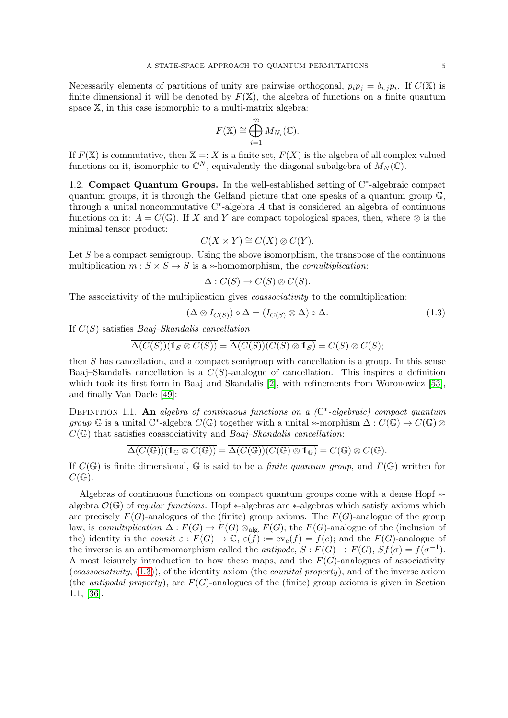Necessarily elements of partitions of unity are pairwise orthogonal,  $p_i p_j = \delta_{i,j} p_i$ . If  $C(\mathbb{X})$  is finite dimensional it will be denoted by  $F(X)$ , the algebra of functions on a finite quantum space X, in this case isomorphic to a multi-matrix algebra:

$$
F(\mathbb{X}) \cong \bigoplus_{i=1}^{m} M_{N_i}(\mathbb{C}).
$$

If  $F(X)$  is commutative, then  $X =: X$  is a finite set,  $F(X)$  is the algebra of all complex valued functions on it, isomorphic to  $\mathbb{C}^N$ , equivalently the diagonal subalgebra of  $M_N(\mathbb{C})$ .

1.2. Compact Quantum Groups. In the well-established setting of C<sup>∗</sup> -algebraic compact quantum groups, it is through the Gelfand picture that one speaks of a quantum group  $\mathbb{G}$ , through a unital noncommutative C<sup>∗</sup> -algebra A that is considered an algebra of continuous functions on it:  $A = C(\mathbb{G})$ . If X and Y are compact topological spaces, then, where  $\otimes$  is the minimal tensor product:

$$
C(X \times Y) \cong C(X) \otimes C(Y).
$$

Let  $S$  be a compact semigroup. Using the above isomorphism, the transpose of the continuous multiplication  $m: S \times S \rightarrow S$  is a \*-homomorphism, the *comultiplication*:

$$
\Delta: C(S) \to C(S) \otimes C(S).
$$

The associativity of the multiplication gives *coassociativity* to the comultiplication:

<span id="page-4-0"></span>
$$
(\Delta \otimes I_{C(S)}) \circ \Delta = (I_{C(S)} \otimes \Delta) \circ \Delta. \tag{1.3}
$$

If  $C(S)$  satisfies *Baaj–Skandalis cancellation* 

$$
\overline{\Delta(C(S))(1_S \otimes C(S))} = \overline{\Delta(C(S))(C(S) \otimes 1_S)} = C(S) \otimes C(S);
$$

then S has cancellation, and a compact semigroup with cancellation is a group. In this sense Baaj–Skandalis cancellation is a  $C(S)$ -analogue of cancellation. This inspires a definition which took its first form in Baaj and Skandalis [\[2\]](#page-31-3), with refinements from Woronowicz [\[53\]](#page-33-0), and finally Van Daele [\[49\]](#page-33-8):

DEFINITION 1.1. An algebra of continuous functions on a  $(\mathbb{C}^*$ -algebraic) compact quantum group G is a unital C<sup>\*</sup>-algebra  $C(\mathbb{G})$  together with a unital ∗-morphism  $\Delta: C(\mathbb{G}) \to C(\mathbb{G}) \otimes$  $C(\mathbb{G})$  that satisfies coassociativity and Baaj–Skandalis cancellation:

$$
\overline{\Delta(C(\mathbb{G}))(\mathbb{1}_{\mathbb{G}}\otimes C(\mathbb{G}))}=\overline{\Delta(C(\mathbb{G}))(C(\mathbb{G})\otimes \mathbb{1}_{\mathbb{G}})}=C(\mathbb{G})\otimes C(\mathbb{G}).
$$

If  $C(\mathbb{G})$  is finite dimensional,  $\mathbb{G}$  is said to be a *finite quantum group*, and  $F(\mathbb{G})$  written for  $C(\mathbb{G}).$ 

Algebras of continuous functions on compact quantum groups come with a dense Hopf ∗ algebra  $\mathcal{O}(\mathbb{G})$  of regular functions. Hopf \*-algebras are \*-algebras which satisfy axioms which are precisely  $F(G)$ -analogues of the (finite) group axioms. The  $F(G)$ -analogue of the group law, is comultiplication  $\Delta: F(G) \to F(G) \otimes_{\text{alg}} F(G)$ ; the  $F(G)$ -analogue of the (inclusion of the) identity is the counit  $\varepsilon$ :  $F(G) \to \mathbb{C}$ ,  $\varepsilon(f) := ev_e(f) = f(e)$ ; and the  $F(G)$ -analogue of the inverse is an antihomomorphism called the *antipode*,  $S: F(G) \to F(G)$ ,  $Sf(\sigma) = f(\sigma^{-1})$ . A most leisurely introduction to how these maps, and the  $F(G)$ -analogues of associativity (*coassociativity*,  $(1.3)$ ), of the identity axiom (the *counital property*), and of the inverse axiom (the *antipodal property*), are  $F(G)$ -analogues of the (finite) group axioms is given in Section 1.1, [\[36\]](#page-32-7).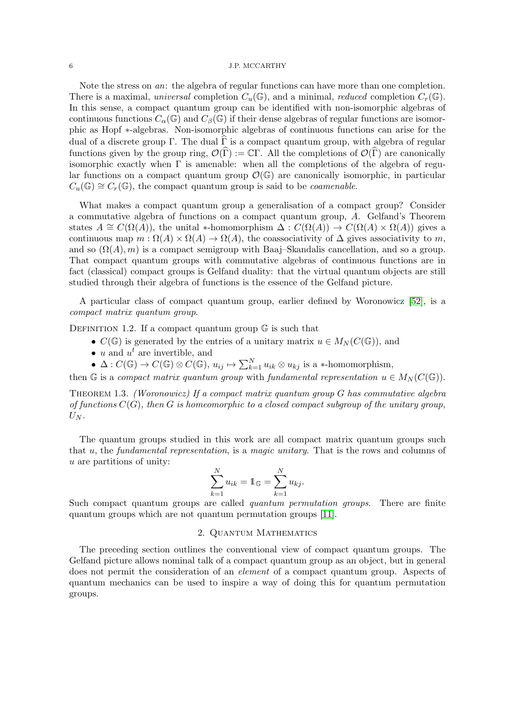Note the stress on *an*: the algebra of regular functions can have more than one completion. There is a maximal, universal completion  $C_u(\mathbb{G})$ , and a minimal, reduced completion  $C_r(\mathbb{G})$ . In this sense, a compact quantum group can be identified with non-isomorphic algebras of continuous functions  $C_{\alpha}(\mathbb{G})$  and  $C_{\beta}(\mathbb{G})$  if their dense algebras of regular functions are isomorphic as Hopf ∗-algebras. Non-isomorphic algebras of continuous functions can arise for the dual of a discrete group Γ. The dual  $\Gamma$  is a compact quantum group, with algebra of regular functions given by the group ring,  $\mathcal{O}(\hat{\Gamma}) := \mathbb{C}\Gamma$ . All the completions of  $\mathcal{O}(\hat{\Gamma})$  are canonically isomorphic exactly when  $\Gamma$  is amenable: when all the completions of the algebra of regular functions on a compact quantum group  $\mathcal{O}(\mathbb{G})$  are canonically isomorphic, in particular  $C_u(\mathbb{G}) \cong C_r(\mathbb{G})$ , the compact quantum group is said to be *coamenable*.

What makes a compact quantum group a generalisation of a compact group? Consider a commutative algebra of functions on a compact quantum group, A. Gelfand's Theorem states  $A \cong C(\Omega(A))$ , the unital \*-homomorphism  $\Delta : C(\Omega(A)) \to C(\Omega(A) \times \Omega(A))$  gives a continuous map  $m : \Omega(A) \times \Omega(A) \to \Omega(A)$ , the coassociativity of  $\Delta$  gives associativity to m, and so  $(\Omega(A), m)$  is a compact semigroup with Baaj–Skandalis cancellation, and so a group. That compact quantum groups with commutative algebras of continuous functions are in fact (classical) compact groups is Gelfand duality: that the virtual quantum objects are still studied through their algebra of functions is the essence of the Gelfand picture.

A particular class of compact quantum group, earlier defined by Woronowicz [\[52\]](#page-33-2), is a compact matrix quantum group.

DEFINITION 1.2. If a compact quantum group  $\mathbb G$  is such that

- $C(\mathbb{G})$  is generated by the entries of a unitary matrix  $u \in M_N(C(\mathbb{G}))$ , and
- $u$  and  $u^t$  are invertible, and
- $\Delta: C(\mathbb{G}) \to C(\mathbb{G}) \otimes C(\mathbb{G}), u_{ij} \mapsto \sum_{k=1}^{N} u_{ik} \otimes u_{kj}$  is a \*-homomorphism,

then G is a compact matrix quantum group with fundamental representation  $u \in M_N(C(\mathbb{G}))$ .

<span id="page-5-0"></span>THEOREM 1.3. (Woronowicz) If a compact matrix quantum group  $G$  has commutative algebra of functions  $C(G)$ , then G is homeomorphic to a closed compact subgroup of the unitary group,  $U_N$ .

The quantum groups studied in this work are all compact matrix quantum groups such that u, the fundamental representation, is a magic unitary. That is the rows and columns of u are partitions of unity:

$$
\sum_{k=1}^{N} u_{ik} = \mathbb{1}_{\mathbb{G}} = \sum_{k=1}^{N} u_{kj}.
$$

Such compact quantum groups are called *quantum permutation groups*. There are finite quantum groups which are not quantum permutation groups [\[11\]](#page-31-4).

## 2. Quantum Mathematics

The preceding section outlines the conventional view of compact quantum groups. The Gelfand picture allows nominal talk of a compact quantum group as an object, but in general does not permit the consideration of an *element* of a compact quantum group. Aspects of quantum mechanics can be used to inspire a way of doing this for quantum permutation groups.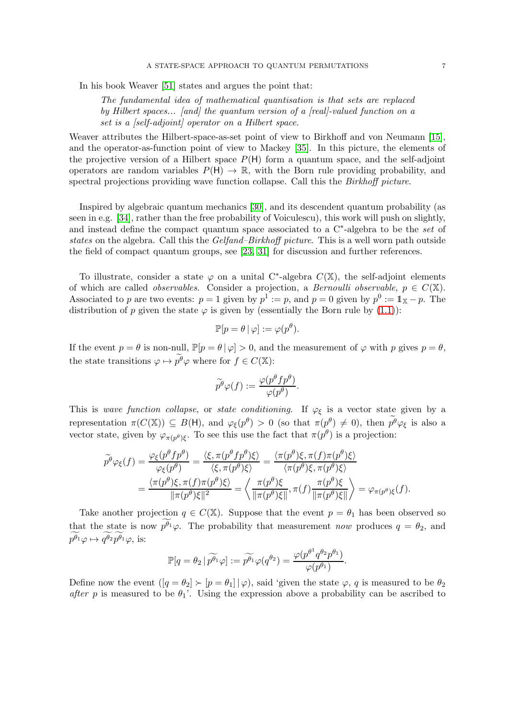In his book Weaver [\[51\]](#page-33-9) states and argues the point that:

The fundamental idea of mathematical quantisation is that sets are replaced by Hilbert spaces... [and] the quantum version of a [real]-valued function on a set is a [self-adjoint] operator on a Hilbert space.

Weaver attributes the Hilbert-space-as-set point of view to Birkhoff and von Neumann [\[15\]](#page-32-8), and the operator-as-function point of view to Mackey [\[35\]](#page-32-9). In this picture, the elements of the projective version of a Hilbert space  $P(H)$  form a quantum space, and the self-adjoint operators are random variables  $P(H) \to \mathbb{R}$ , with the Born rule providing probability, and spectral projections providing wave function collapse. Call this the *Birkhoff picture*.

Inspired by algebraic quantum mechanics [\[30\]](#page-32-10), and its descendent quantum probability (as seen in e.g. [\[34\]](#page-32-11), rather than the free probability of Voiculescu), this work will push on slightly, and instead define the compact quantum space associated to a  $C^*$ -algebra to be the set of states on the algebra. Call this the Gelfand–Birkhoff picture. This is a well worn path outside the field of compact quantum groups, see [\[23,](#page-32-12) [31\]](#page-32-13) for discussion and further references.

To illustrate, consider a state  $\varphi$  on a unital C<sup>\*</sup>-algebra  $C(\mathbb{X})$ , the self-adjoint elements of which are called *observables*. Consider a projection, a *Bernoulli observable*,  $p \in C(\mathbb{X})$ . Associated to p are two events:  $p = 1$  given by  $p^1 := p$ , and  $p = 0$  given by  $p^0 := \mathbb{1}_{\mathbb{X}} - p$ . The distribution of p given the state  $\varphi$  is given by (essentially the Born rule by [\(1.1\)](#page-3-0)):

$$
\mathbb{P}[p = \theta | \varphi] := \varphi(p^{\theta}).
$$

If the event  $p = \theta$  is non-null,  $\mathbb{P}[p = \theta | \varphi] > 0$ , and the measurement of  $\varphi$  with p gives  $p = \theta$ , the state transitions  $\varphi \mapsto p^{\theta} \varphi$  where for  $f \in C(\mathbb{X})$ :

$$
\widetilde{p}^{\theta}\varphi(f):=\frac{\varphi(p^{\theta}fp^{\theta})}{\varphi(p^{\theta})}.
$$

This is wave function collapse, or state conditioning. If  $\varphi_{\xi}$  is a vector state given by a representation  $\pi(C(\mathbb{X})) \subseteq B(H)$ , and  $\varphi_{\xi}(p^{\theta}) > 0$  (so that  $\pi(p^{\theta}) \neq 0$ ), then  $p^{\theta} \varphi_{\xi}$  is also a vector state, given by  $\varphi_{\pi(p^{\theta})\xi}$ . To see this use the fact that  $\pi(p^{\theta})$  is a projection:

$$
\widetilde{p}^{\theta}\varphi_{\xi}(f) = \frac{\varphi_{\xi}(p^{\theta}fp^{\theta})}{\varphi_{\xi}(p^{\theta})} = \frac{\langle \xi, \pi(p^{\theta}fp^{\theta})\xi \rangle}{\langle \xi, \pi(p^{\theta})\xi \rangle} = \frac{\langle \pi(p^{\theta})\xi, \pi(f)\pi(p^{\theta})\xi \rangle}{\langle \pi(p^{\theta})\xi, \pi(p^{\theta})\xi \rangle} = \frac{\langle \pi(p^{\theta})\xi, \pi(f)\pi(p^{\theta})\xi \rangle}{\|\pi(p^{\theta})\xi\|^2} = \left\langle \frac{\pi(p^{\theta})\xi}{\|\pi(p^{\theta})\xi\|}, \pi(f)\frac{\pi(p^{\theta})\xi}{\|\pi(p^{\theta})\xi\|} \right\rangle = \varphi_{\pi(p^{\theta})\xi}(f).
$$

Take another projection  $q \in C(\mathbb{X})$ . Suppose that the event  $p = \theta_1$  has been observed so that the state is now  $\widetilde{p^{\theta_1}}\varphi$ . The probability that measurement now produces  $q = \theta_2$ , and  $\widetilde{p^{\theta_1}}\varphi \mapsto \widetilde{q^{\theta_2}} \widetilde{p^{\theta_1}}\varphi$ , is:

$$
\mathbb{P}[q = \theta_2 \, | \, \widetilde{p^{\theta_1}} \varphi ] := \widetilde{p^{\theta_1}} \varphi(q^{\theta_2}) = \frac{\varphi(p^{\theta^1} q^{\theta_2} p^{\theta_1})}{\varphi(p^{\theta_1})}.
$$

Define now the event  $([q = \theta_2] \succ [p = \theta_1] | \varphi)$ , said 'given the state  $\varphi$ , q is measured to be  $\theta_2$ after p is measured to be  $\theta_1$ . Using the expression above a probability can be ascribed to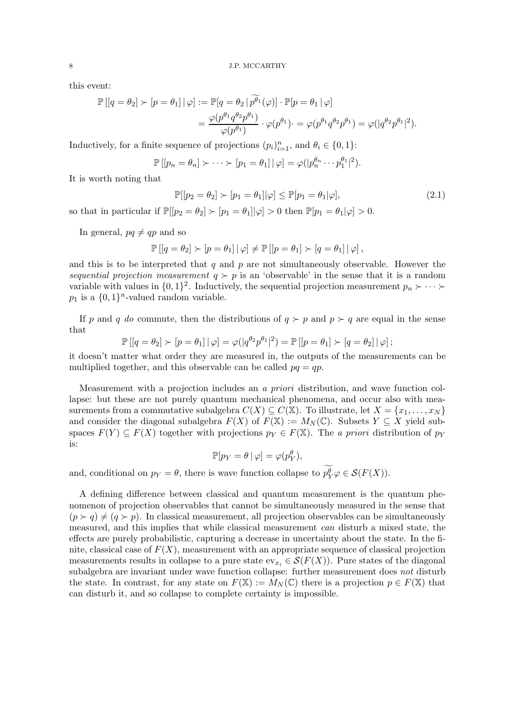this event:

$$
\mathbb{P}\left[\left[q=\theta_2\right] \succ \left[p=\theta_1\right] | \varphi\right] := \mathbb{P}\left[q=\theta_2 | \widetilde{p^{\theta_1}}(\varphi)\right] \cdot \mathbb{P}\left[p=\theta_1 | \varphi\right]
$$

$$
= \frac{\varphi(p^{\theta_1} q^{\theta_2} p^{\theta_1})}{\varphi(p^{\theta_1})} \cdot \varphi(p^{\theta_1}) \cdot \varphi(p^{\theta_1} q^{\theta_2} p^{\theta_1}) = \varphi(|q^{\theta_2} p^{\theta_1}|^2).
$$

Inductively, for a finite sequence of projections  $(p_i)_{i=1}^n$ , and  $\theta_i \in \{0, 1\}$ :

$$
\mathbb{P}\left[ [p_n = \theta_n] \succ \cdots \succ [p_1 = \theta_1] \, \middle| \, \varphi \right] = \varphi(|p_n^{\theta_n} \cdots p_1^{\theta_1}|^2).
$$

It is worth noting that

$$
\mathbb{P}[[p_2 = \theta_2] \succ [p_1 = \theta_1] | \varphi] \le \mathbb{P}[p_1 = \theta_1 | \varphi],\tag{2.1}
$$

so that in particular if  $\mathbb{P}[[p_2 = \theta_2] \succ [p_1 = \theta_1] | \varphi] > 0$  then  $\mathbb{P}[p_1 = \theta_1 | \varphi] > 0$ .

In general,  $pq \neq qp$  and so

$$
\mathbb{P}\left[\left[q=\theta_2\right]\succ\left[p=\theta_1\right]|\varphi\right]\neq\mathbb{P}\left[\left[p=\theta_1\right]\succ\left[q=\theta_1\right]|\varphi\right],
$$

and this is to be interpreted that  $q$  and  $p$  are not simultaneously observable. However the sequential projection measurement  $q \succ p$  is an 'observable' in the sense that it is a random variable with values in  $\{0,1\}^2$ . Inductively, the sequential projection measurement  $p_n \succ \cdots \succ$  $p_1$  is a  $\{0,1\}$ <sup>n</sup>-valued random variable.

If p and q do commute, then the distributions of  $q \succ p$  and  $p \succ q$  are equal in the sense that

$$
\mathbb{P}\left[\left[q=\theta_2\right]\succ\left[p=\theta_1\right]\right|\varphi\right]=\varphi(|q^{\theta_2}p^{\theta_1}|^2)=\mathbb{P}\left[\left[p=\theta_1\right]\succ\left[q=\theta_2\right]\right|\varphi\right];
$$

it doesn't matter what order they are measured in, the outputs of the measurements can be multiplied together, and this observable can be called  $pq = qp$ .

Measurement with a projection includes an a priori distribution, and wave function collapse: but these are not purely quantum mechanical phenomena, and occur also with measurements from a commutative subalgebra  $C(X) \subseteq C(\mathbb{X})$ . To illustrate, let  $X = \{x_1, \ldots, x_N\}$ and consider the diagonal subalgebra  $F(X)$  of  $F(\mathbb{X}) := M_N(\mathbb{C})$ . Subsets  $Y \subseteq X$  yield subspaces  $F(Y) \subseteq F(X)$  together with projections  $p_Y \in F(X)$ . The a priori distribution of  $p_Y$ is:

$$
\mathbb{P}[p_Y = \theta | \varphi] = \varphi(p_Y^{\theta}),
$$

and, conditional on  $p_Y = \theta$ , there is wave function collapse to  $p_Y^{\theta} \varphi \in \mathcal{S}(F(X))$ .

A defining difference between classical and quantum measurement is the quantum phenomenon of projection observables that cannot be simultaneously measured in the sense that  $(p \succ q) \neq (q \succ p)$ . In classical measurement, all projection observables can be simultaneously measured, and this implies that while classical measurement can disturb a mixed state, the effects are purely probabilistic, capturing a decrease in uncertainty about the state. In the finite, classical case of  $F(X)$ , measurement with an appropriate sequence of classical projection measurements results in collapse to a pure state  $ev_{x_i} \in \mathcal{S}(F(X))$ . Pure states of the diagonal subalgebra are invariant under wave function collapse: further measurement does not disturb the state. In contrast, for any state on  $F(\mathbb{X}) := M_N(\mathbb{C})$  there is a projection  $p \in F(\mathbb{X})$  that can disturb it, and so collapse to complete certainty is impossible.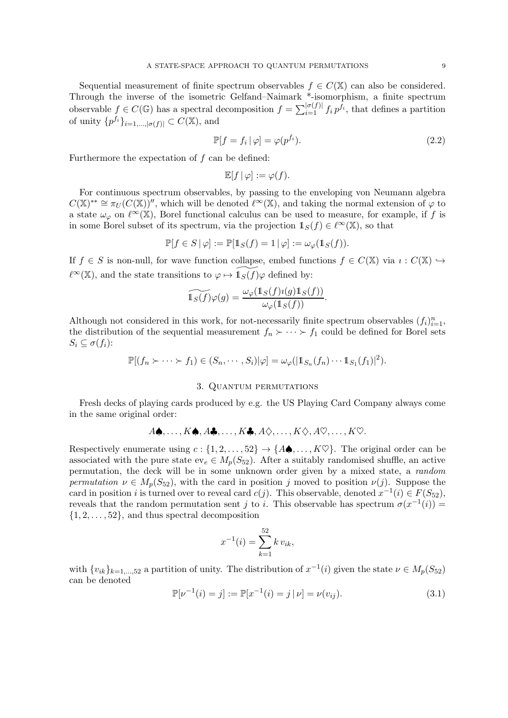Sequential measurement of finite spectrum observables  $f \in C(\mathbb{X})$  can also be considered. Through the inverse of the isometric Gelfand–Naimark \*-isomorphism, a finite spectrum observable  $f \in C(\mathbb{G})$  has a spectral decomposition  $f = \sum_{i=1}^{|\sigma(f)|} f_i p^{f_i}$ , that defines a partition of unity  $\{p^{f_i}\}_{i=1,\ldots,|\sigma(f)|} \subset C(\mathbb{X})$ , and

$$
\mathbb{P}[f = f_i | \varphi] = \varphi(p^{f_i}).\tag{2.2}
$$

Furthermore the expectation of  $f$  can be defined:

$$
\mathbb{E}[f | \varphi] := \varphi(f).
$$

For continuous spectrum observables, by passing to the enveloping von Neumann algebra  $C(\mathbb{X})^{**} \cong \pi_U(C(\mathbb{X}))''$ , which will be denoted  $\ell^{\infty}(\mathbb{X})$ , and taking the normal extension of  $\varphi$  to a state  $\omega_{\varphi}$  on  $\ell^{\infty}(\mathbb{X})$ , Borel functional calculus can be used to measure, for example, if f is in some Borel subset of its spectrum, via the projection  $1_S(f) \in \ell^{\infty}(\mathbb{X})$ , so that

$$
\mathbb{P}[f\in S\,|\,\varphi]:=\mathbb{P}[\mathbb{1}_S(f)=1\,|\,\varphi]:=\omega_\varphi(\mathbb{1}_S(f)).
$$

If  $f \in S$  is non-null, for wave function collapse, embed functions  $f \in C(\mathbb{X})$  via  $i: C(\mathbb{X}) \hookrightarrow$  $\ell^{\infty}(\mathbb{X})$ , and the state transitions to  $\varphi \mapsto \mathbb{1}_S(f)\varphi$  defined by:

$$
\widetilde{\mathbb{1}_S(f)}\varphi(g) = \frac{\omega_{\varphi}(\mathbb{1}_S(f)\imath(g)\mathbb{1}_S(f))}{\omega_{\varphi}(\mathbb{1}_S(f))}.
$$

Although not considered in this work, for not-necessarily finite spectrum observables  $(f_i)_{i=1}^n$ , the distribution of the sequential measurement  $f_n \succ \cdots \succ f_1$  could be defined for Borel sets  $S_i \subseteq \sigma(f_i)$ :

$$
\mathbb{P}[(f_n \succ \cdots \succ f_1) \in (S_n, \cdots, S_i)|\varphi] = \omega_{\varphi}(|1\!1_{S_n}(f_n) \cdots 1_{S_1}(f_1)|^2).
$$

## 3. Quantum permutations

Fresh decks of playing cards produced by e.g. the US Playing Card Company always come in the same original order:

$$
A\spadesuit, \ldots, K\spadesuit, A\clubsuit, \ldots, K\clubsuit, A\diamondsuit, \ldots, K\diamondsuit, A\heartsuit, \ldots, K\heartsuit.
$$

Respectively enumerate using  $c : \{1, 2, \ldots, 52\} \rightarrow \{A\spadesuit, \ldots, K\heartsuit\}$ . The original order can be associated with the pure state  $ev_e \in M_p(S_{52})$ . After a suitably randomised shuffle, an active permutation, the deck will be in some unknown order given by a mixed state, a random permutation  $\nu \in M_n(S_{52})$ , with the card in position j moved to position  $\nu(j)$ . Suppose the card in position i is turned over to reveal card  $c(j)$ . This observable, denoted  $x^{-1}(i) \in F(S_{52})$ , reveals that the random permutation sent j to i. This observable has spectrum  $\sigma(x^{-1}(i))$  =  $\{1, 2, \ldots, 52\}$ , and thus spectral decomposition

$$
x^{-1}(i) = \sum_{k=1}^{52} k v_{ik},
$$

with  $\{v_{ik}\}_{k=1,\dots,52}$  a partition of unity. The distribution of  $x^{-1}(i)$  given the state  $\nu \in M_p(S_{52})$ can be denoted

$$
\mathbb{P}[\nu^{-1}(i) = j] := \mathbb{P}[x^{-1}(i) = j | \nu] = \nu(v_{ij}).
$$
\n(3.1)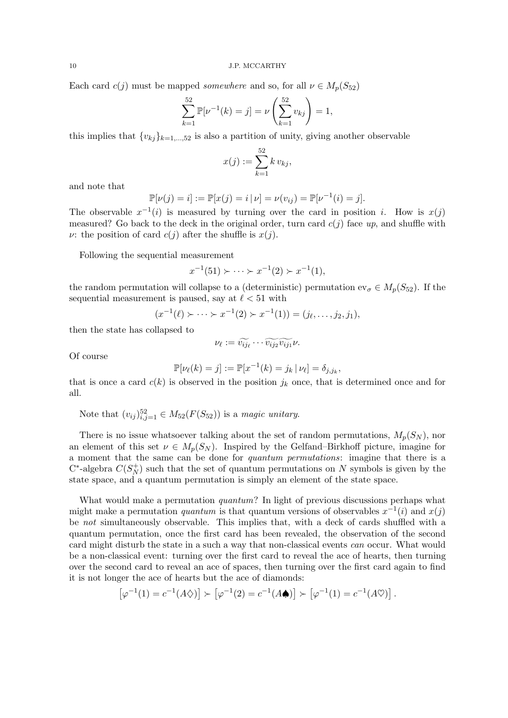Each card  $c(j)$  must be mapped somewhere and so, for all  $\nu \in M_p(S_{52})$ 

$$
\sum_{k=1}^{52} \mathbb{P}[\nu^{-1}(k) = j] = \nu \left( \sum_{k=1}^{52} v_{kj} \right) = 1,
$$

this implies that  $\{v_{kj}\}_{k=1,\dots,52}$  is also a partition of unity, giving another observable

$$
x(j) := \sum_{k=1}^{52} k v_{kj},
$$

and note that

$$
\mathbb{P}[\nu(j) = i] := \mathbb{P}[x(j) = i | \nu] = \nu(v_{ij}) = \mathbb{P}[\nu^{-1}(i) = j].
$$

The observable  $x^{-1}(i)$  is measured by turning over the card in position i. How is  $x(j)$ measured? Go back to the deck in the original order, turn card  $c(j)$  face up, and shuffle with v: the position of card  $c(j)$  after the shuffle is  $x(j)$ .

Following the sequential measurement

$$
x^{-1}(51) \succ \cdots \succ x^{-1}(2) \succ x^{-1}(1),
$$

the random permutation will collapse to a (deterministic) permutation  $ev_{\sigma} \in M_p(S_{52})$ . If the sequential measurement is paused, say at  $\ell < 51$  with

$$
(x^{-1}(\ell) \succ \cdots \succ x^{-1}(2) \succ x^{-1}(1)) = (j_{\ell}, \ldots, j_2, j_1),
$$

then the state has collapsed to

$$
\nu_{\ell} := \widetilde{v_{ij_{\ell}}} \cdots \widetilde{v_{ij_{2}}} \widetilde{v_{ij_{1}}} \nu.
$$

Of course

$$
\mathbb{P}[\nu_{\ell}(k) = j] := \mathbb{P}[x^{-1}(k) = j_k | \nu_{\ell}] = \delta_{j,j_k},
$$

that is once a card  $c(k)$  is observed in the position  $j_k$  once, that is determined once and for all.

Note that  $(v_{ij})_{i,j=1}^{52} \in M_{52}(F(S_{52}))$  is a magic unitary.

There is no issue whatsoever talking about the set of random permutations,  $M_p(S_N)$ , nor an element of this set  $\nu \in M_p(S_N)$ . Inspired by the Gelfand–Birkhoff picture, imagine for a moment that the same can be done for quantum permutations: imagine that there is a C<sup>\*</sup>-algebra  $C(S_N^+$  $N(N)$  such that the set of quantum permutations on N symbols is given by the state space, and a quantum permutation is simply an element of the state space.

What would make a permutation *quantum*? In light of previous discussions perhaps what might make a permutation *quantum* is that quantum versions of observables  $x^{-1}(i)$  and  $x(j)$ be not simultaneously observable. This implies that, with a deck of cards shuffled with a quantum permutation, once the first card has been revealed, the observation of the second card might disturb the state in a such a way that non-classical events can occur. What would be a non-classical event: turning over the first card to reveal the ace of hearts, then turning over the second card to reveal an ace of spaces, then turning over the first card again to find it is not longer the ace of hearts but the ace of diamonds:

$$
[\varphi^{-1}(1) = c^{-1}(A\Diamond)] \succ [\varphi^{-1}(2) = c^{-1}(A\spadesuit)] \succ [\varphi^{-1}(1) = c^{-1}(A\heartsuit)]
$$

.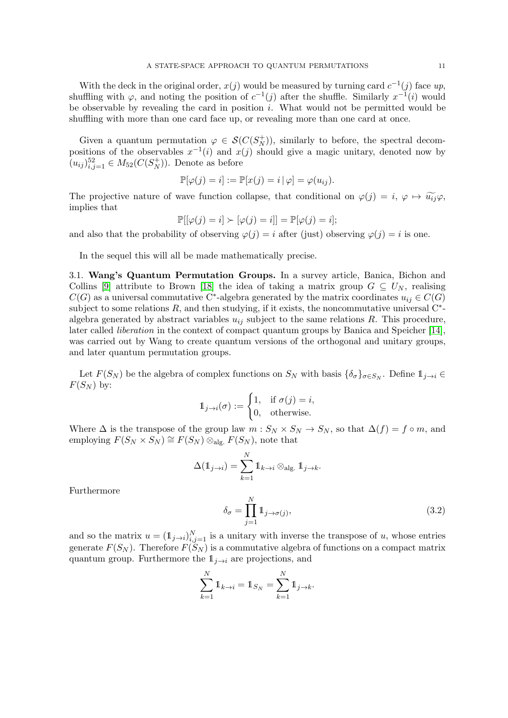With the deck in the original order,  $x(j)$  would be measured by turning card  $c^{-1}(j)$  face up, shuffling with  $\varphi$ , and noting the position of  $c^{-1}(j)$  after the shuffle. Similarly  $x^{-1}(i)$  would be observable by revealing the card in position  $i$ . What would not be permitted would be shuffling with more than one card face up, or revealing more than one card at once.

Given a quantum permutation  $\varphi \in \mathcal{S}(C(S_N^+))$  $\binom{+}{N}$ , similarly to before, the spectral decompositions of the observables  $x^{-1}(i)$  and  $x(j)$  should give a magic unitary, denoted now by  $(u_{ij})_{i,j=1}^{52} \in M_{52}(C(S_N^+))$  $\binom{(+)}{N}$ . Denote as before

$$
\mathbb{P}[\varphi(j) = i] := \mathbb{P}[x(j) = i | \varphi] = \varphi(u_{ij}).
$$

The projective nature of wave function collapse, that conditional on  $\varphi(j) = i, \varphi \mapsto \widetilde{u_{ij}}\varphi$ , implies that

$$
\mathbb{P}[[\varphi(j) = i] \succ [\varphi(j) = i]] = \mathbb{P}[\varphi(j) = i];
$$

and also that the probability of observing  $\varphi(j) = i$  after (just) observing  $\varphi(j) = i$  is one.

In the sequel this will all be made mathematically precise.

3.1. Wang's Quantum Permutation Groups. In a survey article, Banica, Bichon and Collins [\[9\]](#page-31-0) attribute to Brown [\[18\]](#page-32-14) the idea of taking a matrix group  $G \subseteq U_N$ , realising  $C(G)$  as a universal commutative C<sup>∗</sup>-algebra generated by the matrix coordinates  $u_{ij} \in C(G)$ subject to some relations  $R$ , and then studying, if it exists, the noncommutative universal  $C^*$ algebra generated by abstract variables  $u_{ij}$  subject to the same relations R. This procedure, later called liberation in the context of compact quantum groups by Banica and Speicher [\[14\]](#page-32-15), was carried out by Wang to create quantum versions of the orthogonal and unitary groups, and later quantum permutation groups.

Let  $F(S_N)$  be the algebra of complex functions on  $S_N$  with basis  $\{\delta_\sigma\}_{\sigma \in S_N}$ . Define  $\mathbb{1}_{j \to i} \in$  $F(S_N)$  by:

$$
\mathbb{1}_{j \to i}(\sigma) := \begin{cases} 1, & \text{if } \sigma(j) = i, \\ 0, & \text{otherwise.} \end{cases}
$$

Where  $\Delta$  is the transpose of the group law  $m : S_N \times S_N \to S_N$ , so that  $\Delta(f) = f \circ m$ , and employing  $F(S_N \times S_N) \cong F(S_N) \otimes_{\text{alg.}} F(S_N)$ , note that

$$
\Delta(\mathbb{1}_{j \to i}) = \sum_{k=1}^{N} \mathbb{1}_{k \to i} \otimes_{\text{alg.}} \mathbb{1}_{j \to k}.
$$

Furthermore

$$
\delta_{\sigma} = \prod_{j=1}^{N} \mathbb{1}_{j \to \sigma(j)},\tag{3.2}
$$

and so the matrix  $u = (1_{j\rightarrow i})_{i,j=1}^N$  is a unitary with inverse the transpose of u, whose entries generate  $F(S_N)$ . Therefore  $F(S_N)$  is a commutative algebra of functions on a compact matrix quantum group. Furthermore the  $1_{i\rightarrow i}$  are projections, and

$$
\sum_{k=1}^{N} \mathbb{1}_{k \to i} = \mathbb{1}_{S_N} = \sum_{k=1}^{N} \mathbb{1}_{j \to k}.
$$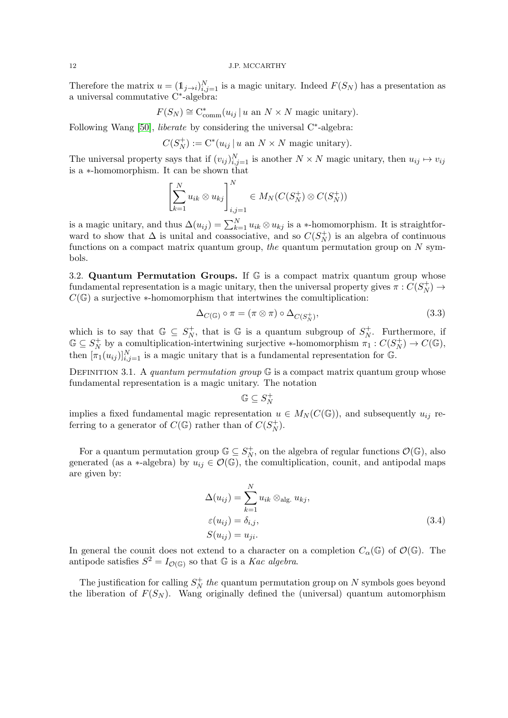Therefore the matrix  $u = (1_{j \to i})_{i,j=1}^N$  is a magic unitary. Indeed  $F(S_N)$  has a presentation as a universal commutative C<sup>∗</sup> -algebra:

$$
F(S_N) \cong \mathrm{C}^*_{\mathrm{comm}}(u_{ij} \, | \, u \text{ an } N \times N \text{ magic unitary}).
$$

Following Wang [\[50\]](#page-33-5), *liberate* by considering the universal C<sup>∗</sup>-algebra:

$$
C(S_N^+) := \mathrm{C}^*(u_{ij} \, | \, u \text{ an } N \times N \text{ magic unitary}).
$$

The universal property says that if  $(v_{ij})_{i,j=1}^N$  is another  $N \times N$  magic unitary, then  $u_{ij} \mapsto v_{ij}$ is a ∗-homomorphism. It can be shown that

$$
\left[\sum_{k=1}^N u_{ik} \otimes u_{kj}\right]_{i,j=1}^N \in M_N(C(S_N^+) \otimes C(S_N^+))
$$

is a magic unitary, and thus  $\Delta(u_{ij}) = \sum_{k=1}^{N} u_{ik} \otimes u_{kj}$  is a ∗-homomorphism. It is straightforward to show that  $\Delta$  is unital and coassociative, and so  $C(S_N^+)$  $\binom{+}{N}$  is an algebra of continuous functions on a compact matrix quantum group, the quantum permutation group on  $N$  symbols.

<span id="page-11-0"></span>3.2. Quantum Permutation Groups. If  $\mathbb G$  is a compact matrix quantum group whose fundamental representation is a magic unitary, then the universal property gives  $\pi$  :  $\hat{C}(S_N^+)$  $\binom{+}{N} \rightarrow$  $C(\mathbb{G})$  a surjective  $*$ -homomorphism that intertwines the comultiplication:

$$
\Delta_{C(\mathbb{G})} \circ \pi = (\pi \otimes \pi) \circ \Delta_{C(S_N^+)},\tag{3.3}
$$

which is to say that  $\mathbb{G} \subseteq S_N^+$  $N_N^+$ , that is G is a quantum subgroup of  $S_N^+$  $_N^+$ . Furthermore, if  $\mathbb{G}\subseteq S_N^+$ <sup>+</sup> by a comultiplication-intertwining surjective ∗-homomorphism  $\pi_1 : C(S_N^+)$  $C_{N}^{+}\rightarrow C(\mathbb{G}),$ then  $[\pi_1(u_{ij})]_{i,j=1}^N$  is a magic unitary that is a fundamental representation for G.

DEFINITION 3.1. A quantum permutation group  $\mathbb{G}$  is a compact matrix quantum group whose fundamental representation is a magic unitary. The notation

$$
\mathbb{G}\subseteq S_N^+
$$

implies a fixed fundamental magic representation  $u \in M_N(C(\mathbb{G}))$ , and subsequently  $u_{ij}$  referring to a generator of  $C(\mathbb{G})$  rather than of  $C(S_N^+)$  $_{N}^{+}).$ 

For a quantum permutation group  $\mathbb{G} \subseteq S_N^+$ , on the algebra of regular functions  $\mathcal{O}(\mathbb{G})$ , also generated (as a ∗-algebra) by  $u_{ij} \in \mathcal{O}(\mathbb{G})$ , the comultiplication, counit, and antipodal maps are given by:

$$
\Delta(u_{ij}) = \sum_{k=1}^{N} u_{ik} \otimes_{\text{alg.}} u_{kj},
$$
  
\n
$$
\varepsilon(u_{ij}) = \delta_{i,j},
$$
  
\n
$$
S(u_{ij}) = u_{ji}.
$$
\n(3.4)

In general the counit does not extend to a character on a completion  $C_{\alpha}(\mathbb{G})$  of  $\mathcal{O}(\mathbb{G})$ . The antipode satisfies  $S^2 = I_{\mathcal{O}(\mathbb{G})}$  so that  $\mathbb G$  is a *Kac algebra*.

The justification for calling  $S_N^+$  $N<sub>N</sub>$  the quantum permutation group on N symbols goes beyond the liberation of  $F(S_N)$ . Wang originally defined the (universal) quantum automorphism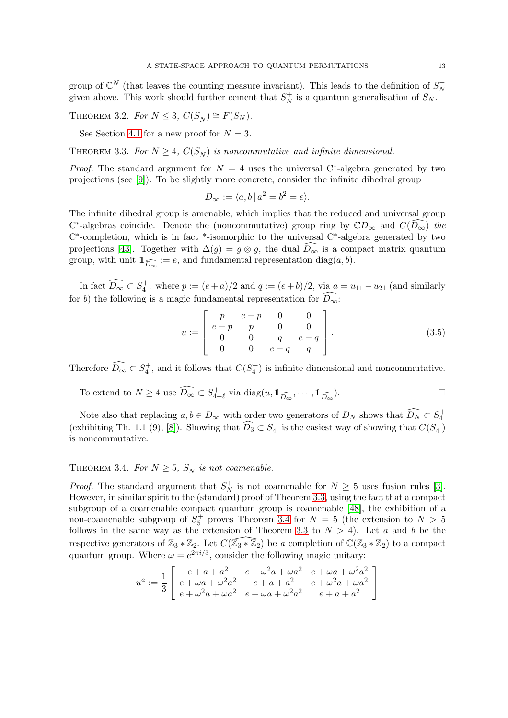group of  $\mathbb{C}^N$  (that leaves the counting measure invariant). This leads to the definition of  $S_N^+$ N given above. This work should further cement that  $S_N^+$  $N<sub>N</sub>$  is a quantum generalisation of  $S<sub>N</sub>$ .

THEOREM 3.2. For  $N \leq 3$ ,  $C(S_N^+$  $V_N^+$ )  $\cong F(S_N)$ .

See Section [4.1](#page-14-0) for a new proof for  $N = 3$ .

<span id="page-12-0"></span>THEOREM 3.3. For  $N \geq 4$ ,  $C(S_N^+$  $N<sub>N</sub>$ ) is noncommutative and infinite dimensional.

*Proof.* The standard argument for  $N = 4$  uses the universal C<sup>\*</sup>-algebra generated by two projections (see [\[9\]](#page-31-0)). To be slightly more concrete, consider the infinite dihedral group

$$
D_{\infty} := \langle a, b \, | \, a^2 = b^2 = e \rangle.
$$

The infinite dihedral group is amenable, which implies that the reduced and universal group  $C^*$ -algebras coincide. Denote the (noncommutative) group ring by  $CD_{\infty}$  and  $C(D_{\infty})$  the C<sup>\*</sup>-completion, which is in fact <sup>\*</sup>-isomorphic to the universal C<sup>\*</sup>-algebra generated by two projections [\[43\]](#page-33-10). Together with  $\Delta(g) = g \otimes g$ , the dual  $\overline{D_{\infty}}$  is a compact matrix quantum group, with unit  $\mathbb{1}_{\widehat{D_{\infty}}} := e$ , and fundamental representation diag $(a, b)$ .

In fact  $\widehat{D_{\infty}} \subset S_4^+$ : where  $p := (e+a)/2$  and  $q := (e+b)/2$ , via  $a = u_{11} - u_{21}$  (and similarly for b) the following is a magic fundamental representation for  $\widehat{D_{\infty}}$ :

$$
u := \left[ \begin{array}{cccc} p & e-p & 0 & 0 \\ e-p & p & 0 & 0 \\ 0 & 0 & q & e-q \\ 0 & 0 & e-q & q \end{array} \right]. \tag{3.5}
$$

Therefore  $\widehat{D_{\infty}} \subset S_4^+$ , and it follows that  $C(S_4^+)$  is infinite dimensional and noncommutative.

To extend to 
$$
N \ge 4
$$
 use  $\widehat{D_{\infty}} \subset S_{4+\ell}^+$  via diag $(u, 1\!\!1_{\widehat{D_{\infty}}}, \cdots, 1\!\!1_{\widehat{D_{\infty}}}).$ 

Note also that replacing  $a, b \in D_{\infty}$  with order two generators of  $D_N$  shows that  $\widehat{D_N} \subset S_4^+$ (exhibiting Th. 1.1 (9), [\[8\]](#page-31-5)). Showing that  $\widehat{D}_3 \subset S_4^+$  is the easiest way of showing that  $C(S_4^+)$ is noncommutative.

# <span id="page-12-1"></span>THEOREM 3.4. For  $N \geq 5$ ,  $S_N^+$  is not coamenable.

*Proof.* The standard argument that  $S_N^+$  $N \nightharpoonup N$  is not coamenable for  $N \geq 5$  uses fusion rules [\[3\]](#page-31-6). However, in similar spirit to the (standard) proof of Theorem [3.3,](#page-12-0) using the fact that a compact subgroup of a coamenable compact quantum group is coamenable [\[48\]](#page-33-11), the exhibition of a non-coamenable subgroup of  $S_5^+$  proves Theorem [3.4](#page-12-1) for  $N = 5$  (the extension to  $N > 5$ follows in the same way as the extension of Theorem [3.3](#page-12-0) to  $N > 4$ ). Let a and b be the respective generators of  $\mathbb{Z}_3 * \mathbb{Z}_2$ . Let  $C(\mathbb{Z}_3 * \mathbb{Z}_2)$  be a completion of  $\mathbb{C}(\mathbb{Z}_3 * \mathbb{Z}_2)$  to a compact quantum group. Where  $\omega = e^{2\pi i/3}$ , consider the following magic unitary:

$$
u^a := \frac{1}{3} \left[ \begin{array}{lll} e + a + a^2 & e + \omega^2 a + \omega a^2 & e + \omega a + \omega^2 a^2 \\ e + \omega a + \omega^2 a^2 & e + a + a^2 & e + \omega^2 a + \omega a^2 \\ e + \omega^2 a + \omega a^2 & e + \omega a + \omega^2 a^2 & e + a + a^2 \end{array} \right]
$$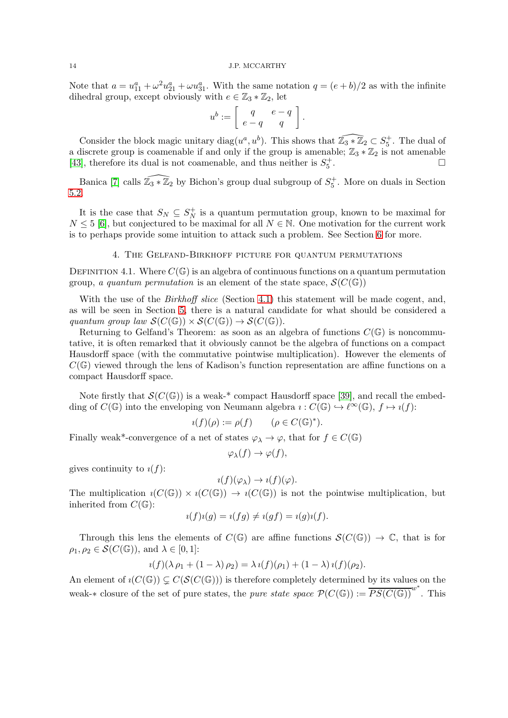Note that  $a = u_{11}^a + \omega^2 u_{21}^a + \omega u_{31}^a$ . With the same notation  $q = (e + b)/2$  as with the infinite dihedral group, except obviously with  $e \in \mathbb{Z}_3 * \mathbb{Z}_2$ , let

$$
u^b:=\left[\begin{array}{cc} q & e-q \\ e-q & q \end{array}\right].
$$

Consider the block magic unitary diag( $u^a, u^b$ ). This shows that  $\widehat{\mathbb{Z}_3 * \mathbb{Z}_2} \subset S_5^+$ . The dual of a discrete group is coamenable if and only if the group is amenable;  $\mathbb{Z}_3 * \mathbb{Z}_2$  is not amenable [43], therefore its dual is not coamenable, and thus neither is  $S^+$ . [\[43\]](#page-33-10), therefore its dual is not coamenable, and thus neither is  $S_5^+$ . В последните последните и производите в последните и производите в последните и при при при при при при при<br>В последните последните последните последните последните последните последните последните последните последнит<br>

Banica [\[7\]](#page-31-1) calls  $\widehat{\mathbb{Z}_3 * \mathbb{Z}_2}$  by Bichon's group dual subgroup of  $S_5^+$ . More on duals in Section [5.2.](#page-20-0)

It is the case that  $S_N \subseteq S_N^+$  $_N^+$  is a quantum permutation group, known to be maximal for  $N \leq 5$  [\[6\]](#page-31-7), but conjectured to be maximal for all  $N \in \mathbb{N}$ . One motivation for the current work is to perhaps provide some intuition to attack such a problem. See Section [6](#page-22-0) for more.

## 4. The Gelfand-Birkhoff picture for quantum permutations

<span id="page-13-0"></span>DEFINITION 4.1. Where  $C(\mathbb{G})$  is an algebra of continuous functions on a quantum permutation group, a quantum permutation is an element of the state space,  $\mathcal{S}(C(\mathbb{G}))$ 

With the use of the *Birkhoff slice* (Section [4.1\)](#page-14-0) this statement will be made cogent, and, as will be seen in Section [5,](#page-19-0) there is a natural candidate for what should be considered a quantum group law  $\mathcal{S}(C(\mathbb{G})) \times \mathcal{S}(C(\mathbb{G})) \to \mathcal{S}(C(\mathbb{G})).$ 

Returning to Gelfand's Theorem: as soon as an algebra of functions  $C(\mathbb{G})$  is noncommutative, it is often remarked that it obviously cannot be the algebra of functions on a compact Hausdorff space (with the commutative pointwise multiplication). However the elements of  $C(\mathbb{G})$  viewed through the lens of Kadison's function representation are affine functions on a compact Hausdorff space.

Note firstly that  $\mathcal{S}(C(\mathbb{G}))$  is a weak-\* compact Hausdorff space [\[39\]](#page-32-6), and recall the embedding of  $C(\mathbb{G})$  into the enveloping von Neumann algebra  $\iota: C(\mathbb{G}) \hookrightarrow \ell^{\infty}(\mathbb{G}), f \mapsto \iota(f)$ :

$$
\imath(f)(\rho) := \rho(f) \qquad (\rho \in C(\mathbb{G})^*).
$$

Finally weak\*-convergence of a net of states  $\varphi_{\lambda} \to \varphi$ , that for  $f \in C(\mathbb{G})$ 

$$
\varphi_{\lambda}(f) \to \varphi(f),
$$

gives continuity to  $i(f)$ :

$$
i(f)(\varphi_{\lambda}) \to i(f)(\varphi).
$$

The multiplication  $\iota(C(\mathbb{G})) \times \iota(C(\mathbb{G})) \to \iota(C(\mathbb{G}))$  is not the pointwise multiplication, but inherited from  $C(\mathbb{G})$ :

$$
i(f)i(g) = i(fg) \neq i(gf) = i(g)i(f).
$$

Through this lens the elements of  $C(\mathbb{G})$  are affine functions  $\mathcal{S}(C(\mathbb{G})) \to \mathbb{C}$ , that is for  $\rho_1, \rho_2 \in \mathcal{S}(C(\mathbb{G}))$ , and  $\lambda \in [0,1]$ :

$$
i(f)(\lambda \rho_1 + (1 - \lambda)\rho_2) = \lambda i(f)(\rho_1) + (1 - \lambda) i(f)(\rho_2).
$$

An element of  $i(C(\mathbb{G})) \subseteq C(\mathcal{S}(C(\mathbb{G})))$  is therefore completely determined by its values on the weak-\* closure of the set of pure states, the *pure state space*  $\mathcal{P}(C(\mathbb{G})) := \overline{PS(C(\mathbb{G}))}^{w^*}$ . This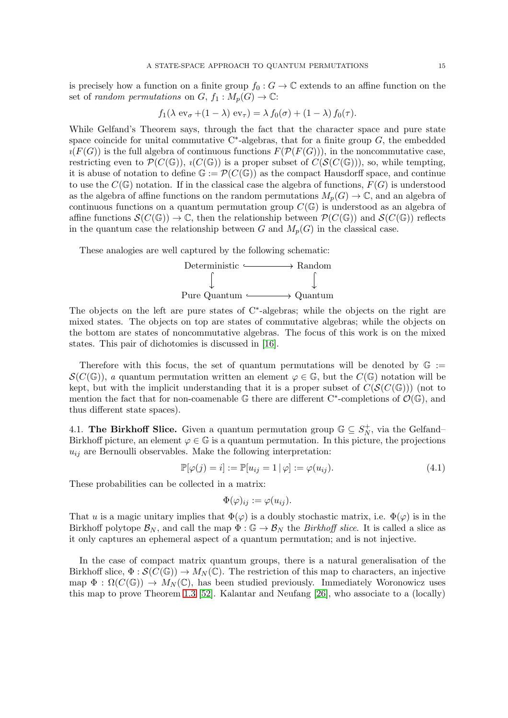is precisely how a function on a finite group  $f_0 : G \to \mathbb{C}$  extends to an affine function on the set of *random permutations* on  $G, f_1 : M_p(G) \to \mathbb{C}$ :

$$
f_1(\lambda \operatorname{ev}_{\sigma} + (1 - \lambda) \operatorname{ev}_{\tau}) = \lambda f_0(\sigma) + (1 - \lambda) f_0(\tau).
$$

While Gelfand's Theorem says, through the fact that the character space and pure state space coincide for unital commutative  $C^*$ -algebras, that for a finite group  $G$ , the embedded  $\iota(F(G))$  is the full algebra of continuous functions  $F(\mathcal{P}(F(G)))$ , in the noncommutative case, restricting even to  $\mathcal{P}(C(\mathbb{G}))$ ,  $\iota(C(\mathbb{G}))$  is a proper subset of  $C(\mathcal{S}(C(\mathbb{G})))$ , so, while tempting, it is abuse of notation to define  $\mathbb{G} := \mathcal{P}(C(\mathbb{G}))$  as the compact Hausdorff space, and continue to use the  $C(\mathbb{G})$  notation. If in the classical case the algebra of functions,  $F(G)$  is understood as the algebra of affine functions on the random permutations  $M_p(G) \to \mathbb{C}$ , and an algebra of continuous functions on a quantum permutation group  $C(\mathbb{G})$  is understood as an algebra of affine functions  $\mathcal{S}(C(\mathbb{G})) \to \mathbb{C}$ , then the relationship between  $\mathcal{P}(C(\mathbb{G}))$  and  $\mathcal{S}(C(\mathbb{G}))$  reflects in the quantum case the relationship between G and  $M_p(G)$  in the classical case.

These analogies are well captured by the following schematic:



The objects on the left are pure states of C<sup>∗</sup> -algebras; while the objects on the right are mixed states. The objects on top are states of commutative algebras; while the objects on the bottom are states of noncommutative algebras. The focus of this work is on the mixed states. This pair of dichotomies is discussed in [\[16\]](#page-32-16).

Therefore with this focus, the set of quantum permutations will be denoted by  $\mathbb{G}$  :=  $\mathcal{S}(C(\mathbb{G}))$ , a quantum permutation written an element  $\varphi \in \mathbb{G}$ , but the  $C(\mathbb{G})$  notation will be kept, but with the implicit understanding that it is a proper subset of  $C(\mathcal{S}(C(\mathbb{G})))$  (not to mention the fact that for non-coamenable  $\mathbb G$  there are different C<sup>\*</sup>-completions of  $\mathcal O(\mathbb G)$ , and thus different state spaces).

<span id="page-14-0"></span>4.1. The Birkhoff Slice. Given a quantum permutation group  $\mathbb{G} \subseteq S_N^+$  $N<sub>N</sub>$ , via the Gelfand– Birkhoff picture, an element  $\varphi \in \mathbb{G}$  is a quantum permutation. In this picture, the projections  $u_{ij}$  are Bernoulli observables. Make the following interpretation:

$$
\mathbb{P}[\varphi(j) = i] := \mathbb{P}[u_{ij} = 1 | \varphi] := \varphi(u_{ij}).\tag{4.1}
$$

These probabilities can be collected in a matrix:

$$
\Phi(\varphi)_{ij} := \varphi(u_{ij}).
$$

That u is a magic unitary implies that  $\Phi(\varphi)$  is a doubly stochastic matrix, i.e.  $\Phi(\varphi)$  is in the Birkhoff polytope  $\mathcal{B}_N$ , and call the map  $\Phi : \mathbb{G} \to \mathcal{B}_N$  the *Birkhoff slice*. It is called a slice as it only captures an ephemeral aspect of a quantum permutation; and is not injective.

In the case of compact matrix quantum groups, there is a natural generalisation of the Birkhoff slice,  $\Phi : \mathcal{S}(C(\mathbb{G})) \to M_N(\mathbb{C})$ . The restriction of this map to characters, an injective map  $\Phi : \Omega(C(\mathbb{G})) \to M_N(\mathbb{C})$ , has been studied previously. Immediately Woronowicz uses this map to prove Theorem [1.3](#page-5-0) [\[52\]](#page-33-2). Kalantar and Neufang [\[26\]](#page-32-17), who associate to a (locally)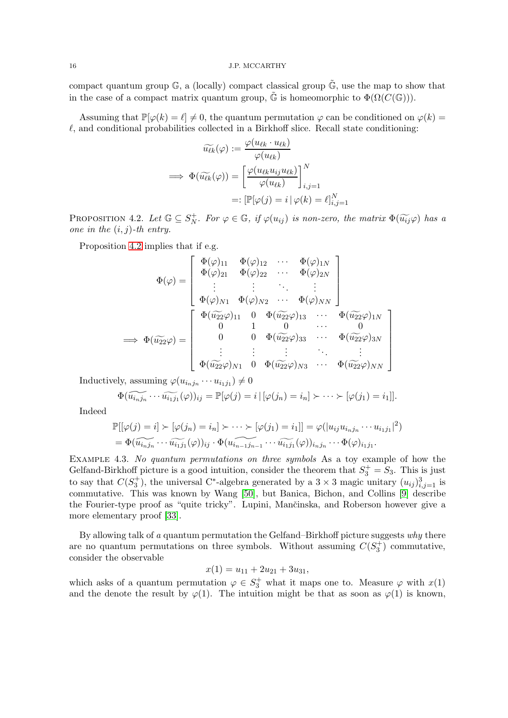compact quantum group  $\mathbb{G}$ , a (locally) compact classical group  $\tilde{\mathbb{G}}$ , use the map to show that in the case of a compact matrix quantum group,  $\tilde{\mathbb{G}}$  is homeomorphic to  $\Phi(\Omega(C(\mathbb{G}))).$ 

Assuming that  $\mathbb{P}[\varphi(k) = \ell] \neq 0$ , the quantum permutation  $\varphi$  can be conditioned on  $\varphi(k) =$  $\ell$ , and conditional probabilities collected in a Birkhoff slice. Recall state conditioning:

$$
\widetilde{u_{\ell k}}(\varphi) := \frac{\varphi(u_{\ell k} \cdot u_{\ell k})}{\varphi(u_{\ell k})}
$$
\n
$$
\implies \Phi(\widetilde{u_{\ell k}}(\varphi)) = \left[\frac{\varphi(u_{\ell k} u_{ij} u_{\ell k})}{\varphi(u_{\ell k})}\right]_{i,j=1}^N
$$
\n
$$
=: \left[\mathbb{P}[\varphi(j) = i \,|\, \varphi(k) = \ell\right]_{i,j=1}^N
$$

<span id="page-15-0"></span>PROPOSITION 4.2. Let  $\mathbb{G} \subseteq S_N^+$ . For  $\varphi \in \mathbb{G}$ , if  $\varphi(u_{ij})$  is non-zero, the matrix  $\Phi(\widetilde{u_{ij}}\varphi)$  has a one in the  $(i, j)$ -th entry.

Proposition [4.2](#page-15-0) implies that if e.g.

$$
\Phi(\varphi) = \begin{bmatrix}\n\Phi(\varphi)_{11} & \Phi(\varphi)_{12} & \cdots & \Phi(\varphi)_{1N} \\
\Phi(\varphi)_{21} & \Phi(\varphi)_{22} & \cdots & \Phi(\varphi)_{2N} \\
\vdots & \vdots & \ddots & \vdots \\
\Phi(\varphi)_{N1} & \Phi(\varphi)_{N2} & \cdots & \Phi(\varphi)_{NN}\n\end{bmatrix}
$$
\n
$$
\implies \Phi(\widetilde{u_{22}}\varphi) = \begin{bmatrix}\n\Phi(\varphi)_{11} & \Phi(\varphi)_{12} & \cdots & \Phi(\varphi)_{1N} \\
\Phi(\varphi)_{N2} & \Phi(\varphi)_{N2} & \cdots & \Phi(\varphi)_{NN} \\
\vdots & \vdots & \ddots & \vdots \\
\Phi(\widetilde{u_{22}}\varphi)_{11} & 0 & \Phi(\widetilde{u_{22}}\varphi)_{13} & \cdots & \Phi(\widetilde{u_{22}}\varphi)_{1N} \\
\vdots & \vdots & \vdots & \ddots & \vdots \\
\Phi(\widetilde{u_{22}}\varphi)_{N1} & 0 & \Phi(\widetilde{u_{22}}\varphi)_{N3} & \cdots & \Phi(\widetilde{u_{22}}\varphi)_{NN}\n\end{bmatrix}
$$

1  $\mathbf{I}$  $\mathbf{I}$  $\mathbf{I}$  $\mathbf{I}$  $\mathbf{I}$  $\mathbf{I}$ 

Inductively, assuming  $\varphi(u_{i_nj_n}\cdots u_{i_1j_1})\neq 0$ 

$$
\Phi(\widetilde{u_{i_1j_1}}\cdots\widetilde{u_{i_1j_1}}(\varphi))_{ij}=\mathbb{P}[\varphi(j)=i\,|\,[\varphi(j_n)=i_n]\succ\cdots\succ[\varphi(j_1)=i_1]].
$$

Indeed

$$
\mathbb{P}[(\varphi(j) = i] \succ [\varphi(j_n) = i_n] \succ \cdots \succ [\varphi(j_1) = i_1]] = \varphi(|u_{ij}u_{i_nj_n} \cdots u_{i_1j_1}|^2)
$$
  
=  $\Phi(\widetilde{u_{i_nj_n}} \cdots \widetilde{u_{i_1j_1}}(\varphi))_{ij} \cdot \Phi(\widetilde{u_{i_{n-1}j_{n-1}}} \cdots \widetilde{u_{i_1j_1}}(\varphi))_{i_nj_n} \cdots \Phi(\varphi)_{i_1j_1}.$ 

Example 4.3. No quantum permutations on three symbols As a toy example of how the Gelfand-Birkhoff picture is a good intuition, consider the theorem that  $S_3^+ = S_3$ . This is just to say that  $C(S_3^+)$ , the universal C<sup>∗</sup>-algebra generated by a 3 × 3 magic unitary  $(u_{ij})_{i,j=1}^3$  is commutative. This was known by Wang [\[50\]](#page-33-5), but Banica, Bichon, and Collins [\[9\]](#page-31-0) describe the Fourier-type proof as "quite tricky". Lupini, Mančinska, and Roberson however give a more elementary proof [\[33\]](#page-32-1).

By allowing talk of  $a$  quantum permutation the Gelfand–Birkhoff picture suggests  $why$  there are no quantum permutations on three symbols. Without assuming  $C(S_3^+)$  commutative, consider the observable

$$
x(1) = u_{11} + 2u_{21} + 3u_{31},
$$

which asks of a quantum permutation  $\varphi \in S_3^+$  what it maps one to. Measure  $\varphi$  with  $x(1)$ and the denote the result by  $\varphi(1)$ . The intuition might be that as soon as  $\varphi(1)$  is known,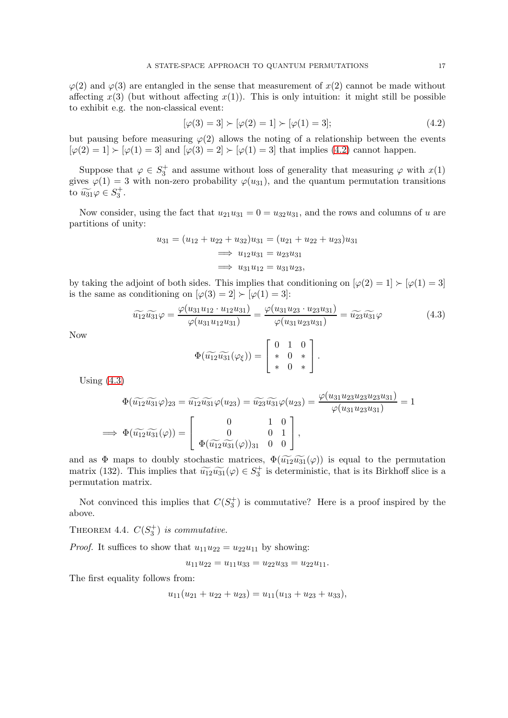$\varphi(2)$  and  $\varphi(3)$  are entangled in the sense that measurement of  $x(2)$  cannot be made without affecting  $x(3)$  (but without affecting  $x(1)$ ). This is only intuition: it might still be possible to exhibit e.g. the non-classical event:

<span id="page-16-0"></span>
$$
[\varphi(3) = 3] \succ [\varphi(2) = 1] \succ [\varphi(1) = 3];\tag{4.2}
$$

but pausing before measuring  $\varphi(2)$  allows the noting of a relationship between the events  $[\varphi(2) = 1] \succ [\varphi(1) = 3]$  and  $[\varphi(3) = 2] \succ [\varphi(1) = 3]$  that implies [\(4.2\)](#page-16-0) cannot happen.

Suppose that  $\varphi \in S_3^+$  and assume without loss of generality that measuring  $\varphi$  with  $x(1)$ gives  $\varphi(1) = 3$  with non-zero probability  $\varphi(u_{31})$ , and the quantum permutation transitions to  $\widetilde{u_{31}}\varphi \in S_3^+$ .

Now consider, using the fact that  $u_{21}u_{31} = 0 = u_{32}u_{31}$ , and the rows and columns of u are partitions of unity:

$$
u_{31} = (u_{12} + u_{22} + u_{32})u_{31} = (u_{21} + u_{22} + u_{23})u_{31}
$$
  
\n
$$
\implies u_{12}u_{31} = u_{23}u_{31}
$$
  
\n
$$
\implies u_{31}u_{12} = u_{31}u_{23},
$$

by taking the adjoint of both sides. This implies that conditioning on  $[\varphi(2) = 1] \succ [\varphi(1) = 3]$ is the same as conditioning on  $[\varphi(3) = 2] \succ [\varphi(1) = 3]$ :

<span id="page-16-1"></span>
$$
\widetilde{u_{12}}\widetilde{u_{31}}\varphi = \frac{\varphi(u_{31}u_{12} \cdot u_{12}u_{31})}{\varphi(u_{31}u_{12}u_{31})} = \frac{\varphi(u_{31}u_{23} \cdot u_{23}u_{31})}{\varphi(u_{31}u_{23}u_{31})} = \widetilde{u_{23}}\widetilde{u_{31}}\varphi
$$
\n(4.3)

Now

$$
\Phi(\widetilde{u_{12}}\widetilde{u_{31}}(\varphi_{\xi})) = \left[\begin{array}{rrr} 0 & 1 & 0 \\ * & 0 & * \\ * & 0 & * \end{array}\right].
$$

Using  $(4.3)$ 

$$
\Phi(\widetilde{u_{12}}\widetilde{u_{31}}\varphi)_{23} = \widetilde{u_{12}}\widetilde{u_{31}}\varphi(u_{23}) = \widetilde{u_{23}}\widetilde{u_{31}}\varphi(u_{23}) = \frac{\varphi(u_{31}u_{23}u_{23}u_{23}u_{31})}{\varphi(u_{31}u_{23}u_{31})} = 1
$$
\n
$$
\implies \Phi(\widetilde{u_{12}}\widetilde{u_{31}}(\varphi)) = \begin{bmatrix} 0 & 1 & 0 \\ 0 & 0 & 1 \\ \Phi(\widetilde{u_{12}}\widetilde{u_{31}}(\varphi))_{31} & 0 & 0 \end{bmatrix},
$$

and as  $\Phi$  maps to doubly stochastic matrices,  $\Phi(\widetilde{u_12}\widetilde{u_31}(\varphi))$  is equal to the permutation matrix (132). This implies that  $\widetilde{u_{12}}\widetilde{u_{31}}(\varphi) \in S_3^+$  is deterministic, that is its Birkhoff slice is a permutation matrix.

Not convinced this implies that  $C(S_3^+)$  is commutative? Here is a proof inspired by the above.

THEOREM 4.4.  $C(S_3^+)$  is commutative.

*Proof.* It suffices to show that  $u_{11}u_{22} = u_{22}u_{11}$  by showing:

$$
u_{11}u_{22} = u_{11}u_{33} = u_{22}u_{33} = u_{22}u_{11}.
$$

The first equality follows from:

$$
u_{11}(u_{21} + u_{22} + u_{23}) = u_{11}(u_{13} + u_{23} + u_{33}),
$$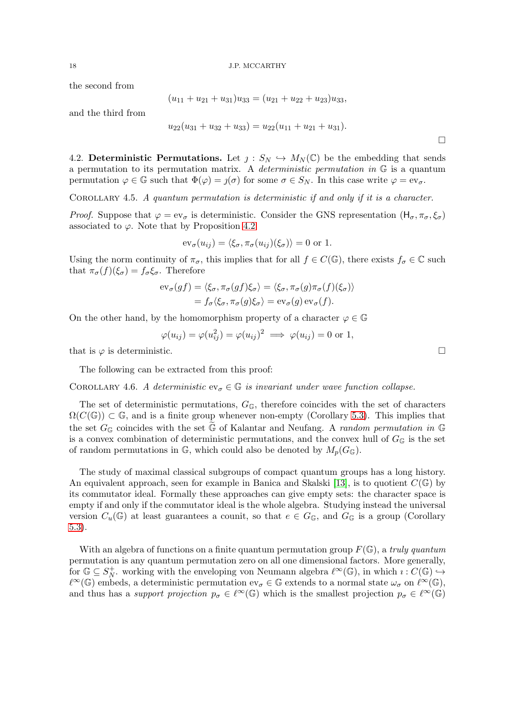the second from

$$
(u_{11} + u_{21} + u_{31})u_{33} = (u_{21} + u_{22} + u_{23})u_{33},
$$

and the third from

$$
u_{22}(u_{31} + u_{32} + u_{33}) = u_{22}(u_{11} + u_{21} + u_{31}).
$$

4.2. Deterministic Permutations. Let  $j: S_N \hookrightarrow M_N(\mathbb{C})$  be the embedding that sends a permutation to its permutation matrix. A *deterministic permutation in*  $\mathbb{G}$  is a quantum permutation  $\varphi \in \mathbb{G}$  such that  $\Phi(\varphi) = \iint_{\sigma} \sigma$  for some  $\sigma \in S_N$ . In this case write  $\varphi = \text{ev}_{\sigma}$ .

COROLLARY 4.5. A quantum permutation is deterministic if and only if it is a character.

*Proof.* Suppose that  $\varphi = ev_{\sigma}$  is deterministic. Consider the GNS representation  $(H_{\sigma}, \pi_{\sigma}, \xi_{\sigma})$ associated to  $\varphi$ . Note that by Proposition [4.2](#page-15-0)

$$
\mathrm{ev}_{\sigma}(u_{ij}) = \langle \xi_{\sigma}, \pi_{\sigma}(u_{ij})(\xi_{\sigma}) \rangle = 0 \text{ or } 1.
$$

Using the norm continuity of  $\pi_{\sigma}$ , this implies that for all  $f \in C(\mathbb{G})$ , there exists  $f_{\sigma} \in \mathbb{C}$  such that  $\pi_{\sigma}(f)(\xi_{\sigma}) = f_{\sigma}\xi_{\sigma}$ . Therefore

$$
\mathrm{ev}_{\sigma}(gf) = \langle \xi_{\sigma}, \pi_{\sigma}(gf) \xi_{\sigma} \rangle = \langle \xi_{\sigma}, \pi_{\sigma}(g) \pi_{\sigma}(f) (\xi_{\sigma}) \rangle \n= f_{\sigma} \langle \xi_{\sigma}, \pi_{\sigma}(g) \xi_{\sigma} \rangle = \mathrm{ev}_{\sigma}(g) \mathrm{ev}_{\sigma}(f).
$$

On the other hand, by the homomorphism property of a character  $\varphi \in \mathbb{G}$ 

$$
\varphi(u_{ij}) = \varphi(u_{ij}^2) = \varphi(u_{ij})^2 \implies \varphi(u_{ij}) = 0 \text{ or } 1,
$$

that is  $\varphi$  is deterministic.

The following can be extracted from this proof:

COROLLARY 4.6. A deterministic  $ev_{\sigma} \in \mathbb{G}$  is invariant under wave function collapse.

The set of deterministic permutations,  $G_{\mathbb{G}}$ , therefore coincides with the set of characters  $\Omega(C(\mathbb{G})) \subset \mathbb{G}$ , and is a finite group whenever non-empty (Corollary [5.3\)](#page-20-1). This implies that the set  $G_{\mathbb{G}}$  coincides with the set  $\widetilde{\mathbb{G}}$  of Kalantar and Neufang. A *random permutation in*  $\mathbb{G}$ is a convex combination of deterministic permutations, and the convex hull of  $G_{\mathbb{G}}$  is the set of random permutations in  $\mathbb{G}$ , which could also be denoted by  $M_p(G_{\mathbb{G}})$ .

The study of maximal classical subgroups of compact quantum groups has a long history. An equivalent approach, seen for example in Banica and Skalski [\[13\]](#page-32-18), is to quotient  $C(\mathbb{G})$  by its commutator ideal. Formally these approaches can give empty sets: the character space is empty if and only if the commutator ideal is the whole algebra. Studying instead the universal version  $C_u(\mathbb{G})$  at least guarantees a counit, so that  $e \in G_{\mathbb{G}}$ , and  $G_{\mathbb{G}}$  is a group (Corollary [5.3\)](#page-20-1).

With an algebra of functions on a finite quantum permutation group  $F(\mathbb{G})$ , a truly quantum permutation is any quantum permutation zero on all one dimensional factors. More generally, for  $\mathbb{G} \subseteq S_N^+$ working with the enveloping von Neumann algebra  $\ell^{\infty}(\mathbb{G})$ , in which  $\imath : C(\mathbb{G}) \hookrightarrow$  $\ell^{\infty}(\mathbb{G})$  embeds, a deterministic permutation  $ev_{\sigma} \in \mathbb{G}$  extends to a normal state  $\omega_{\sigma}$  on  $\ell^{\infty}(\mathbb{G}),$ and thus has a support projection  $p_{\sigma} \in \ell^{\infty}(\mathbb{G})$  which is the smallest projection  $p_{\sigma} \in \ell^{\infty}(\mathbb{G})$ 

 $\Box$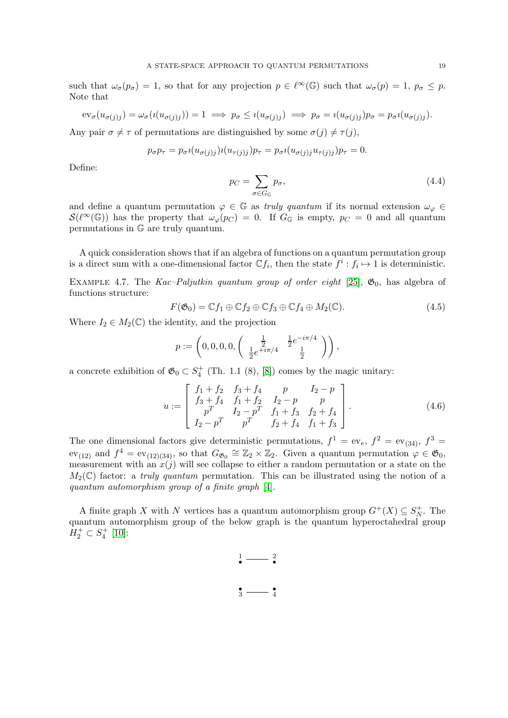such that  $\omega_{\sigma}(p_{\sigma}) = 1$ , so that for any projection  $p \in \ell^{\infty}(\mathbb{G})$  such that  $\omega_{\sigma}(p) = 1$ ,  $p_{\sigma} \leq p$ . Note that

$$
ev_{\sigma}(u_{\sigma(j)j}) = \omega_{\sigma}(i(u_{\sigma(j)j})) = 1 \implies p_{\sigma} \leq i(u_{\sigma(j)j}) \implies p_{\sigma} = i(u_{\sigma(j)j})p_{\sigma} = p_{\sigma}i(u_{\sigma(j)j}).
$$

Any pair  $\sigma \neq \tau$  of permutations are distinguished by some  $\sigma(j) \neq \tau(j)$ ,

$$
p_{\sigma}p_{\tau} = p_{\sigma} \iota(u_{\sigma(j)j})\iota(u_{\tau(j)j})p_{\tau} = p_{\sigma} \iota(u_{\sigma(j)j}u_{\tau(j)j})p_{\tau} = 0.
$$

Define:

$$
p_C = \sum_{\sigma \in G_{\mathbb{G}}} p_{\sigma},\tag{4.4}
$$

and define a quantum permutation  $\varphi \in \mathbb{G}$  as truly quantum if its normal extension  $\omega_{\varphi} \in$  $S(\ell^{\infty}(\mathbb{G}))$  has the property that  $\omega_{\varphi}(p_C) = 0$ . If  $G_{\mathbb{G}}$  is empty,  $p_C = 0$  and all quantum permutations in G are truly quantum.

A quick consideration shows that if an algebra of functions on a quantum permutation group is a direct sum with a one-dimensional factor  $\mathbb{C} f_i$ , then the state  $f^i : f_i \mapsto 1$  is deterministic.

EXAMPLE 4.7. The Kac–Paljutkin quantum group of order eight [\[25\]](#page-32-19),  $\mathfrak{G}_0$ , has algebra of functions structure:

$$
F(\mathfrak{G}_0) = \mathbb{C}f_1 \oplus \mathbb{C}f_2 \oplus \mathbb{C}f_3 \oplus \mathbb{C}f_4 \oplus M_2(\mathbb{C}). \tag{4.5}
$$

Where  $I_2 \in M_2(\mathbb{C})$  the identity, and the projection

$$
p:=\left(0,0,0,0,\left(\begin{array}{cc}\frac{1}{2}&\frac{1}{2}e^{-i\pi/4}\\ \frac{1}{2}e^{+i\pi/4}&\frac{1}{2}\end{array}\right)\right),
$$

a concrete exhibition of  $\mathfrak{G}_0 \subset S_4^+$  (Th. 1.1 (8), [\[8\]](#page-31-5)) comes by the magic unitary:

$$
u := \begin{bmatrix} f_1 + f_2 & f_3 + f_4 & p & I_2 - p \\ f_3 + f_4 & f_1 + f_2 & I_2 - p & p \\ p^T & I_2 - p^T & f_1 + f_3 & f_2 + f_4 \\ I_2 - p^T & p^T & f_2 + f_4 & f_1 + f_3 \end{bmatrix} .
$$
 (4.6)

The one dimensional factors give deterministic permutations,  $f^1 = ev_e$ ,  $f^2 = ev_{(34)}$ ,  $f^3 =$  $ev_{(12)}$  and  $f^4 = ev_{(12)(34)}$ , so that  $G_{\mathfrak{G}_0} \cong \mathbb{Z}_2 \times \mathbb{Z}_2$ . Given a quantum permutation  $\varphi \in \mathfrak{G}_0$ , measurement with an  $x(j)$  will see collapse to either a random permutation or a state on the  $M_2(\mathbb{C})$  factor: a truly quantum permutation. This can be illustrated using the notion of a quantum automorphism group of a finite graph [\[4\]](#page-31-8).

A finite graph X with N vertices has a quantum automorphism group  $G^+(X) \subseteq S_N^+$ . The A time graph A with A vertices has a quantum automorphism group  $G'(X) \subseteq N_N$ . The quantum automorphism group of the below graph is the quantum hyperoctahedral group  $H_2^+ \subset S_4^+$  [\[10\]](#page-31-9):

<span id="page-18-0"></span>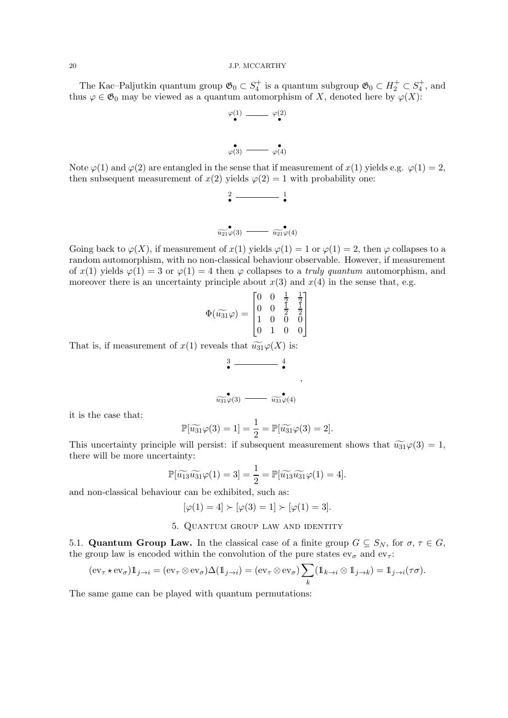The Kac–Paljutkin quantum group  $\mathfrak{G}_0 \subset S_4^+$  is a quantum subgroup  $\mathfrak{G}_0 \subset H_2^+ \subset S_4^+$ , and thus  $\varphi \in \mathfrak{G}_0$  may be viewed as a quantum automorphism of X, denoted here by  $\varphi(X)$ :

$$
\varphi(1) \xrightarrow{\qquad \qquad } \varphi(2)
$$

$$
\varphi(3) \xrightarrow{\bullet} \varphi(4)
$$

Note  $\varphi(1)$  and  $\varphi(2)$  are entangled in the sense that if measurement of  $x(1)$  yields e.g.  $\varphi(1) = 2$ , then subsequent measurement of  $x(2)$  yields  $\varphi(2) = 1$  with probability one:

$$
\begin{array}{c}\n\mathbf{2} & \mathbf{1} \\
\hline\n\mathbf{w_1} & \mathbf{0} \\
\hline\n\mathbf{w_2} & \mathbf{0} \\
\hline\n\mathbf{w_3} & \mathbf{0} \\
\hline\n\mathbf{w_4} & \mathbf{0} \\
\hline\n\mathbf{w_5} & \mathbf{0} \\
\hline\n\mathbf{w_6} & \mathbf{0} \\
\hline\n\mathbf{w_7} & \mathbf{0} \\
\hline\n\mathbf{w_8} & \mathbf{0} \\
\hline\n\mathbf{w_9} & \mathbf{0} \\
\hline\n\mathbf{w_9} & \mathbf{0} \\
\hline\n\mathbf{w_9} & \mathbf{0} \\
\hline\n\mathbf{w_9} & \mathbf{0} \\
\hline\n\mathbf{w_9} & \mathbf{0} \\
\hline\n\mathbf{w_9} & \mathbf{0} \\
\hline\n\mathbf{w_9} & \mathbf{0} \\
\hline\n\mathbf{w_9} & \mathbf{0} \\
\hline\n\mathbf{w_9} & \mathbf{0} \\
\hline\n\mathbf{w_9} & \mathbf{0} \\
\hline\n\mathbf{w_9} & \mathbf{0} \\
\hline\n\mathbf{w_9} & \mathbf{0} \\
\hline\n\mathbf{w_9} & \mathbf{0} \\
\hline\n\mathbf{w_9} & \mathbf{0} \\
\hline\n\mathbf{w_9} & \mathbf{0} \\
\hline\n\mathbf{w_9} & \mathbf{0} \\
\hline\n\mathbf{w_9} & \mathbf{0} \\
\hline\n\mathbf{w_9} & \mathbf{0} \\
\hline\n\mathbf{w_9} & \mathbf{0} \\
\hline\n\mathbf{w_9} & \mathbf{0} \\
\hline\n\mathbf{w_9} & \mathbf{0} \\
\hline\n\mathbf{w_9} & \mathbf{0} \\
\hline\n\mathbf{w_9} & \mathbf{0} \\
\hline\n\mathbf{w_9} & \mathbf{0} \\
\hline\n\mathbf{w_9} & \mathbf{0} \\
\hline\n\mathbf{w_9} & \mathbf{0} \\
\hline\n\mathbf{w_9} & \mathbf{0} \\
\hline\n\mathbf{w_9} & \mathbf{0} \\
\hline\n\mathbf{w_9} & \mathbf{0
$$

Going back to  $\varphi(X)$ , if measurement of  $x(1)$  yields  $\varphi(1) = 1$  or  $\varphi(1) = 2$ , then  $\varphi$  collapses to a random automorphism, with no non-classical behaviour observable. However, if measurement of  $x(1)$  yields  $\varphi(1) = 3$  or  $\varphi(1) = 4$  then  $\varphi$  collapses to a *truly quantum* automorphism, and moreover there is an uncertainty principle about  $x(3)$  and  $x(4)$  in the sense that, e.g.

$$
\Phi(\widetilde{u_{31}}\varphi) = \begin{bmatrix} 0 & 0 & \frac{1}{2} & \frac{1}{2} \\ 0 & 0 & \frac{1}{2} & \frac{1}{2} \\ 1 & 0 & 0 & 0 \\ 0 & 1 & 0 & 0 \end{bmatrix}
$$

That is, if measurement of  $x(1)$  reveals that  $\widetilde{u_{31}}\varphi(X)$  is:

$$
\begin{array}{c}\n3 \longrightarrow 4 \\
\bullet \\
\hline\n\end{array}
$$

it is the case that:

$$
\mathbb{P}[\widetilde{u_{31}}\varphi(3)=1]=\frac{1}{2}=\mathbb{P}[\widetilde{u_{31}}\varphi(3)=2].
$$

This uncertainty principle will persist: if subsequent measurement shows that  $\widetilde{u_{31}}\varphi(3) = 1$ , there will be more uncertainty:

$$
\mathbb{P}[\widetilde{u_{13}}\widetilde{u_{31}}\varphi(1)=3]=\frac{1}{2}=\mathbb{P}[\widetilde{u_{13}}\widetilde{u_{31}}\varphi(1)=4].
$$

<span id="page-19-0"></span>and non-classical behaviour can be exhibited, such as:

$$
[\varphi(1)=4]\succ[\varphi(3)=1]\succ[\varphi(1)=3].
$$

# 5. Quantum group law and identity

5.1. **Quantum Group Law.** In the classical case of a finite group  $G \subseteq S_N$ , for  $\sigma, \tau \in G$ , the group law is encoded within the convolution of the pure states  $ev_{\sigma}$  and  $ev_{\tau}$ :

$$
(\mathrm{ev}_{\tau} \star \mathrm{ev}_{\sigma}) \mathbb{1}_{j \to i} = (\mathrm{ev}_{\tau} \otimes \mathrm{ev}_{\sigma}) \Delta(\mathbb{1}_{j \to i}) = (\mathrm{ev}_{\tau} \otimes \mathrm{ev}_{\sigma}) \sum_{k} (\mathbb{1}_{k \to i} \otimes \mathbb{1}_{j \to k}) = \mathbb{1}_{j \to i}(\tau \sigma).
$$

The same game can be played with quantum permutations: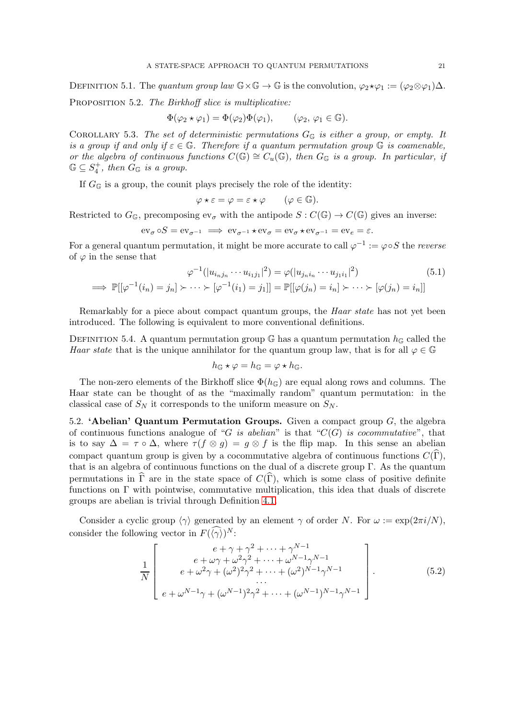DEFINITION 5.1. The quantum group law  $\mathbb{G}\times\mathbb{G}\to\mathbb{G}$  is the convolution,  $\varphi_2\star\varphi_1:=(\varphi_2\otimes\varphi_1)\Delta$ .

PROPOSITION 5.2. The Birkhoff slice is multiplicative:

$$
\Phi(\varphi_2 \star \varphi_1) = \Phi(\varphi_2) \Phi(\varphi_1), \qquad (\varphi_2, \varphi_1 \in \mathbb{G}).
$$

<span id="page-20-1"></span>COROLLARY 5.3. The set of deterministic permutations  $G_{\mathbb{G}}$  is either a group, or empty. It is a group if and only if  $\varepsilon \in \mathbb{G}$ . Therefore if a quantum permutation group  $\mathbb{G}$  is coamenable, or the algebra of continuous functions  $C(\mathbb{G}) \cong C_u(\mathbb{G})$ , then  $G_{\mathbb{G}}$  is a group. In particular, if  $\mathbb{G} \subseteq S_4^+$ , then  $G_{\mathbb{G}}$  is a group.

If  $G_{\mathbb{G}}$  is a group, the counit plays precisely the role of the identity:

$$
\varphi \star \varepsilon = \varphi = \varepsilon \star \varphi \qquad (\varphi \in \mathbb{G}).
$$

Restricted to  $G_{\mathbb{G}}$ , precomposing  $ev_{\sigma}$  with the antipode  $S: C(\mathbb{G}) \to C(\mathbb{G})$  gives an inverse:

$$
\operatorname{ev}_{\sigma} \circ S = \operatorname{ev}_{\sigma^{-1}} \implies \operatorname{ev}_{\sigma^{-1}} \star \operatorname{ev}_{\sigma} = \operatorname{ev}_{\sigma} \star \operatorname{ev}_{\sigma^{-1}} = \operatorname{ev}_{e} = \varepsilon.
$$

For a general quantum permutation, it might be more accurate to call  $\varphi^{-1} := \varphi \circ S$  the reverse of  $\varphi$  in the sense that

$$
\varphi^{-1}(|u_{i_n j_n} \cdots u_{i_1 j_1}|^2) = \varphi(|u_{j_n i_n} \cdots u_{j_1 i_1}|^2)
$$
(5.1)  

$$
\implies \mathbb{P}[[\varphi^{-1}(i_n) = j_n] \succ \cdots \succ [\varphi^{-1}(i_1) = j_1]] = \mathbb{P}[[\varphi(j_n) = i_n] \succ \cdots \succ [\varphi(j_n) = i_n]]
$$

Remarkably for a piece about compact quantum groups, the *Haar state* has not yet been introduced. The following is equivalent to more conventional definitions.

DEFINITION 5.4. A quantum permutation group  $\mathbb{G}$  has a quantum permutation  $h_{\mathbb{G}}$  called the Haar state that is the unique annihilator for the quantum group law, that is for all  $\varphi \in \mathbb{G}$ 

$$
h_{\mathbb{G}}\star\varphi=h_{\mathbb{G}}=\varphi\star h_{\mathbb{G}}.
$$

The non-zero elements of the Birkhoff slice  $\Phi(h_{\mathbb{G}})$  are equal along rows and columns. The Haar state can be thought of as the "maximally random" quantum permutation: in the classical case of  $S_N$  it corresponds to the uniform measure on  $S_N$ .

<span id="page-20-0"></span>5.2. 'Abelian' Quantum Permutation Groups. Given a compact group  $G$ , the algebra of continuous functions analogue of "G is abelian" is that " $C(G)$  is cocommutative", that is to say  $\Delta = \tau \circ \Delta$ , where  $\tau(f \otimes q) = q \otimes f$  is the flip map. In this sense an abelian compact quantum group is given by a cocommutative algebra of continuous functions  $C(\tilde{\Gamma})$ , that is an algebra of continuous functions on the dual of a discrete group Γ. As the quantum permutations in  $\hat{\Gamma}$  are in the state space of  $C(\hat{\Gamma})$ , which is some class of positive definite functions on Γ with pointwise, commutative multiplication, this idea that duals of discrete groups are abelian is trivial through Definition [4.1.](#page-13-0)

Consider a cyclic group  $\langle \gamma \rangle$  generated by an element  $\gamma$  of order N. For  $\omega := \exp(2\pi i/N)$ , consider the following vector in  $F(\langle \gamma \rangle)^N$ :

$$
\frac{1}{N} \begin{bmatrix} e + \gamma + \gamma^2 + \dots + \gamma^{N-1} \\ e + \omega \gamma + \omega^2 \gamma^2 + \dots + \omega^{N-1} \gamma^{N-1} \\ e + \omega^2 \gamma + (\omega^2)^2 \gamma^2 + \dots + (\omega^2)^{N-1} \gamma^{N-1} \\ \dots \\ e + \omega^{N-1} \gamma + (\omega^{N-1})^2 \gamma^2 + \dots + (\omega^{N-1})^{N-1} \gamma^{N-1} \end{bmatrix} . \tag{5.2}
$$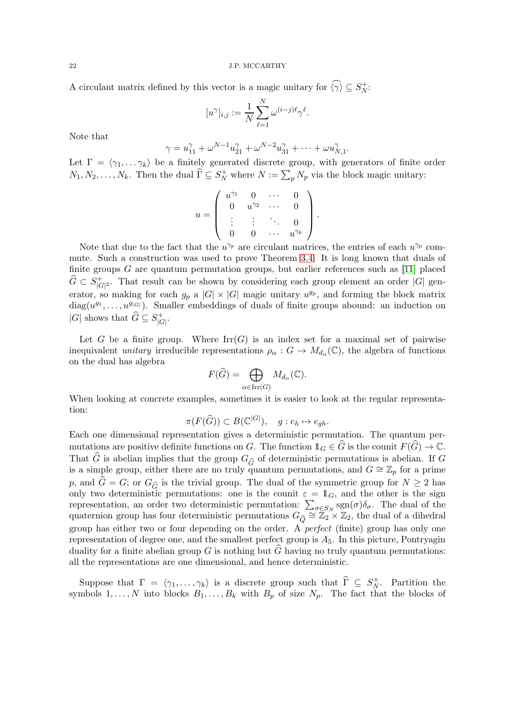A circulant matrix defined by this vector is a magic unitary for  $\langle \gamma \rangle \subseteq S_N^+$ :

$$
[u^{\gamma}]_{i,j} := \frac{1}{N} \sum_{\ell=1}^{N} \omega^{(i-j)\ell} \gamma^{\ell}.
$$

Note that

$$
\gamma = u_{11}^{\gamma} + \omega^{N-1} u_{21}^{\gamma} + \omega^{N-2} u_{31}^{\gamma} + \cdots + \omega u_{N,1}^{\gamma}.
$$

Let  $\Gamma = \langle \gamma_1, \ldots \gamma_k \rangle$  be a finitely generated discrete group, with generators of finite order  $N_1, N_2, \ldots, N_k$ . Then the dual  $\widehat{\Gamma} \subseteq S_N^+$  where  $N := \sum_p N_p$  via the block magic unitary:

$$
u = \left( \begin{array}{cccc} u^{\gamma_1} & 0 & \cdots & 0 \\ 0 & u^{\gamma_2} & \cdots & 0 \\ \vdots & \vdots & \ddots & 0 \\ 0 & 0 & \cdots & u^{\gamma_k} \end{array} \right).
$$

Note that due to the fact that the  $u^{\gamma_p}$  are circulant matrices, the entries of each  $u^{\gamma_p}$  commute. Such a construction was used to prove Theorem [3.4.](#page-12-1) It is long known that duals of finite groups  $G$  are quantum permutation groups, but earlier references such as [\[11\]](#page-31-4) placed  $\widehat{G}\,\subset\,S^+_{|G}$  $|G|^2$ . That result can be shown by considering each group element an order  $|G|$  generator, so making for each  $g_p$  a  $|G| \times |G|$  magic unitary  $u^{g_p}$ , and forming the block matrix  $diag(u^{g_1}, \ldots, u^{g_{|G|}})$ . Smaller embeddings of duals of finite groups abound: an induction on |G| shows that  $\widehat{G} \subseteq S^+_{|G}$  $\frac{1}{|G|}.$ 

Let G be a finite group. Where  $\text{Irr}(G)$  is an index set for a maximal set of pairwise inequivalent *unitary* irreducible representations  $\rho_{\alpha}: G \to M_{d_{\alpha}}(\mathbb{C})$ , the algebra of functions on the dual has algebra

$$
F(\widehat{G}) = \bigoplus_{\alpha \in \operatorname{Irr}(G)} M_{d_{\alpha}}(\mathbb{C}).
$$

When looking at concrete examples, sometimes it is easier to look at the regular representation:

$$
\pi(F(\widehat{G})) \subset B(\mathbb{C}^{|G|}), \quad g: e_h \mapsto e_{gh}.
$$

Each one dimensional representation gives a deterministic permutation. The quantum permutations are positive definite functions on G. The function  $1_G \in \widehat{G}$  is the counit  $F(\widehat{G}) \to \mathbb{C}$ . That  $\widehat{G}$  is abelian implies that the group  $G_{\widehat{G}}$  of deterministic permutations is abelian. If G is a simple group, either there are no truly quantum permutations, and  $G \cong \mathbb{Z}_p$  for a prime p, and  $\hat{G} = G$ ; or  $G_{\hat{G}}$  is the trivial group. The dual of the symmetric group for  $N \geq 2$  has only two deterministic permutations: one is the counit  $\varepsilon = \mathbb{1}_G$ , and the other is the sign representation, an order two deterministic permutation:  $\sum_{\sigma \in S_N} \text{sgn}(\sigma) \delta_{\sigma}$ . The dual of the quaternion group has four deterministic permutations  $G_{\widehat{Q}} \cong \mathbb{Z}_2 \times \mathbb{Z}_2$ , the dual of a dihedral group has either two or four depending on the order. A perfect (finite) group has only one representation of degree one, and the smallest perfect group is  $A_5$ . In this picture, Pontryagin duality for a finite abelian group  $G$  is nothing but  $G$  having no truly quantum permutations: all the representations are one dimensional, and hence deterministic.

Suppose that  $\Gamma = \langle \gamma_1, \ldots, \gamma_k \rangle$  is a discrete group such that  $\widehat{\Gamma} \subseteq S_N^+$  $N^+$ . Partition the symbols  $1, \ldots, N$  into blocks  $B_1, \ldots, B_k$  with  $B_p$  of size  $N_p$ . The fact that the blocks of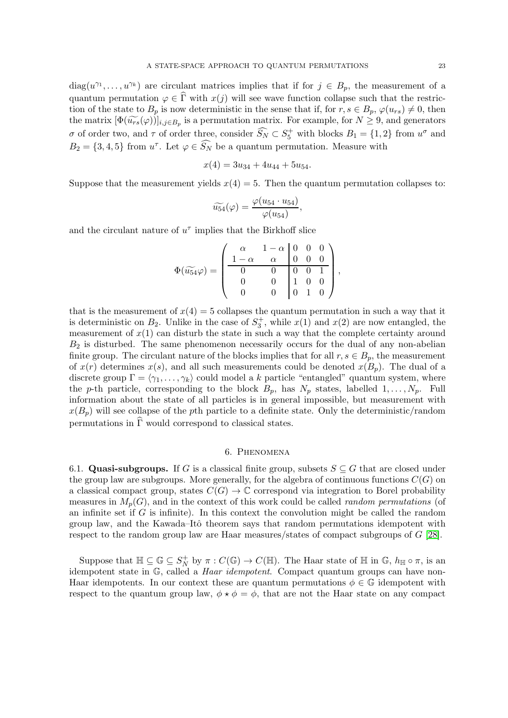$diag(u^{\gamma_1},\ldots,u^{\gamma_k})$  are circulant matrices implies that if for  $j \in B_p$ , the measurement of a quantum permutation  $\varphi \in \widehat{\Gamma}$  with  $x(j)$  will see wave function collapse such that the restriction of the state to  $B_p$  is now deterministic in the sense that if, for  $r, s \in B_p$ ,  $\varphi(u_{rs}) \neq 0$ , then the matrix  $[\Phi(\widetilde{u_{rs}}(\varphi))]_{i,j\in B_p}$  is a permutation matrix. For example, for  $N \geq 9$ , and generators σ of order two, and τ of order three, consider  $\widehat{S_N} \subset S_5^+$  with blocks  $B_1 = \{1, 2\}$  from  $u^{\sigma}$  and  $B_2 = \{3, 4, 5\}$  from  $u^{\tau}$ . Let  $\varphi \in \widetilde{S_N}$  be a quantum permutation. Measure with

$$
x(4) = 3u_{34} + 4u_{44} + 5u_{54}.
$$

Suppose that the measurement yields  $x(4) = 5$ . Then the quantum permutation collapses to:

$$
\widetilde{u_{54}}(\varphi) = \frac{\varphi(u_{54} \cdot u_{54})}{\varphi(u_{54})},
$$

and the circulant nature of  $u^{\tau}$  implies that the Birkhoff slice

$$
\Phi(\widetilde{u_{54}}\varphi) = \begin{pmatrix} \alpha & 1-\alpha & 0 & 0 & 0 \\ 1-\alpha & \alpha & 0 & 0 & 0 \\ 0 & 0 & 0 & 0 & 1 \\ 0 & 0 & 1 & 0 & 0 \\ 0 & 0 & 0 & 1 & 0 \end{pmatrix},
$$

that is the measurement of  $x(4) = 5$  collapses the quantum permutation in such a way that it is deterministic on  $B_2$ . Unlike in the case of  $S_3^+$ , while  $x(1)$  and  $x(2)$  are now entangled, the measurement of  $x(1)$  can disturb the state in such a way that the complete certainty around  $B_2$  is disturbed. The same phenomenon necessarily occurs for the dual of any non-abelian finite group. The circulant nature of the blocks implies that for all  $r, s \in B_p$ , the measurement of  $x(r)$  determines  $x(s)$ , and all such measurements could be denoted  $x(B_p)$ . The dual of a discrete group  $\Gamma = \langle \gamma_1, \ldots, \gamma_k \rangle$  could model a k particle "entangled" quantum system, where the p-th particle, corresponding to the block  $B_p$ , has  $N_p$  states, labelled  $1, \ldots, N_p$ . Full information about the state of all particles is in general impossible, but measurement with  $x(B_p)$  will see collapse of the pth particle to a definite state. Only the deterministic/random permutations in  $\widehat{\Gamma}$  would correspond to classical states.

# 6. Phenomena

<span id="page-22-0"></span>6.1. Quasi-subgroups. If G is a classical finite group, subsets  $S \subseteq G$  that are closed under the group law are subgroups. More generally, for the algebra of continuous functions  $C(G)$  on a classical compact group, states  $C(G) \to \mathbb{C}$  correspond via integration to Borel probability measures in  $M_p(G)$ , and in the context of this work could be called *random permutations* (of an infinite set if  $G$  is infinite). In this context the convolution might be called the random group law, and the Kawada–Itô theorem says that random permutations idempotent with respect to the random group law are Haar measures/states of compact subgroups of  $G$  [\[28\]](#page-32-20).

Suppose that  $\mathbb{H} \subseteq \mathbb{G} \subseteq S_N^+$  $\mathcal{C}_N^+$  by  $\pi: C(\mathbb{G}) \to C(\mathbb{H})$ . The Haar state of  $\mathbb H$  in  $\mathbb{G}, h_{\mathbb{H}} \circ \pi$ , is an idempotent state in G, called a *Haar idempotent*. Compact quantum groups can have non-Haar idempotents. In our context these are quantum permutations  $\phi \in \mathbb{G}$  idempotent with respect to the quantum group law,  $\phi \star \phi = \phi$ , that are not the Haar state on any compact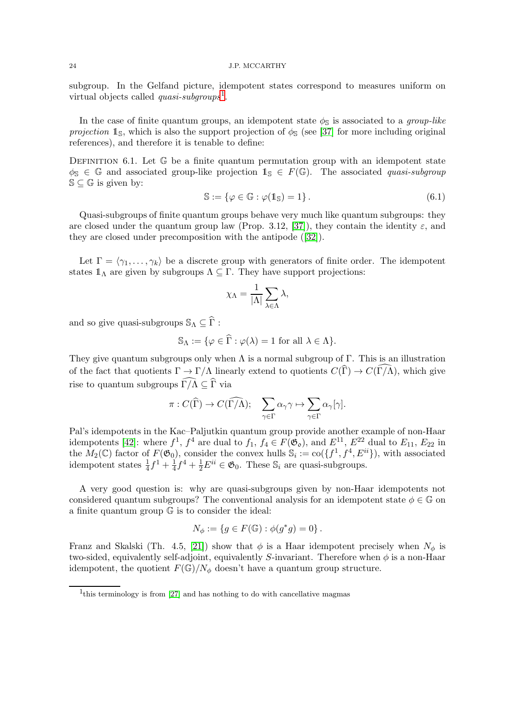subgroup. In the Gelfand picture, idempotent states correspond to measures uniform on virtual objects called  $quasi-subgroups<sup>1</sup>$  $quasi-subgroups<sup>1</sup>$  $quasi-subgroups<sup>1</sup>$ .

In the case of finite quantum groups, an idempotent state  $\phi_{\mathbb{S}}$  is associated to a *group-like* projection  $\mathbb{1}_{\mathbb{S}}$ , which is also the support projection of  $\phi_{\mathbb{S}}$  (see [\[37\]](#page-32-21) for more including original references), and therefore it is tenable to define:

DEFINITION 6.1. Let  $\mathbb G$  be a finite quantum permutation group with an idempotent state  $\phi_{\mathbb{S}} \in \mathbb{G}$  and associated group-like projection  $\mathbb{1}_{\mathbb{S}} \in F(\mathbb{G})$ . The associated quasi-subgroup  $\mathbb{S} \subset \mathbb{G}$  is given by:

<span id="page-23-1"></span>
$$
\mathbb{S} := \{ \varphi \in \mathbb{G} : \varphi(\mathbb{1}_{\mathbb{S}}) = 1 \}.
$$
\n(6.1)

Quasi-subgroups of finite quantum groups behave very much like quantum subgroups: they are closed under the quantum group law (Prop. 3.12, [\[37\]](#page-32-21)), they contain the identity  $\varepsilon$ , and they are closed under precomposition with the antipode([\[32\]](#page-32-22)).

Let  $\Gamma = \langle \gamma_1, \ldots, \gamma_k \rangle$  be a discrete group with generators of finite order. The idempotent states  $1_\Lambda$  are given by subgroups  $\Lambda \subseteq \Gamma$ . They have support projections:

$$
\chi_{\Lambda} = \frac{1}{|\Lambda|} \sum_{\lambda \in \Lambda} \lambda,
$$

and so give quasi-subgroups  $\mathbb{S}_{\Lambda} \subseteq \widehat{\Gamma}$ :

$$
\mathbb{S}_{\Lambda} := \{ \varphi \in \Gamma : \varphi(\lambda) = 1 \text{ for all } \lambda \in \Lambda \}.
$$

They give quantum subgroups only when  $\Lambda$  is a normal subgroup of  $\Gamma$ . This is an illustration of the fact that quotients  $\Gamma \to \Gamma/\Lambda$  linearly extend to quotients  $C(\widehat{\Gamma}) \to C(\widehat{\Gamma/\Lambda})$ , which give rise to quantum subgroups  $\widehat{\Gamma/\Lambda} \subset \widehat{\Gamma}$  via

$$
\pi: C(\widehat{\Gamma}) \to C(\widehat{\Gamma/\Lambda}); \quad \sum_{\gamma \in \Gamma} \alpha_{\gamma} \gamma \mapsto \sum_{\gamma \in \Gamma} \alpha_{\gamma}[\gamma].
$$

Pal's idempotents in the Kac–Paljutkin quantum group provide another example of non-Haar idempotents [\[42\]](#page-33-12): where  $f^1$ ,  $f^4$  are dual to  $f_1$ ,  $f_4 \in F(\mathfrak{G}_{\mathfrak{0}})$ , and  $E^{11}$ ,  $E^{22}$  dual to  $E_{11}$ ,  $E_{22}$  in the  $M_2(\mathbb{C})$  factor of  $F(\mathfrak{G}_0)$ , consider the convex hulls  $\mathbb{S}_i := \text{co}(\{f^1, f^4, E^{ii}\})$ , with associated idempotent states  $\frac{1}{4}f^1 + \frac{1}{4}$  $\frac{1}{4}f^4 + \frac{1}{2}E^{ii} \in \mathfrak{G}_0$ . These  $\mathbb{S}_i$  are quasi-subgroups.

A very good question is: why are quasi-subgroups given by non-Haar idempotents not considered quantum subgroups? The conventional analysis for an idempotent state  $\phi \in \mathbb{G}$  on a finite quantum group G is to consider the ideal:

$$
N_{\phi} := \{ g \in F(\mathbb{G}) : \phi(g^*g) = 0 \}.
$$

Franz and Skalski (Th. 4.5, [\[21\]](#page-32-23)) show that  $\phi$  is a Haar idempotent precisely when  $N_{\phi}$  is two-sided, equivalently self-adjoint, equivalently S-invariant. Therefore when  $\phi$  is a non-Haar idempotent, the quotient  $F(\mathbb{G})/N_{\phi}$  doesn't have a quantum group structure.

<span id="page-23-0"></span><sup>&</sup>lt;sup>1</sup>this terminology is from [\[27\]](#page-32-24) and has nothing to do with cancellative magmas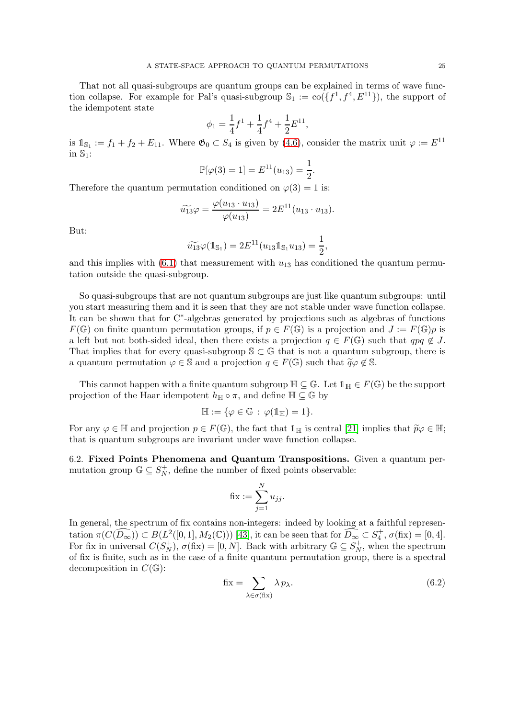That not all quasi-subgroups are quantum groups can be explained in terms of wave function collapse. For example for Pal's quasi-subgroup  $\mathbb{S}_1 := \text{co}(\{f^1, f^4, E^{11}\})$ , the support of the idempotent state

$$
\phi_1 = \frac{1}{4}f^1 + \frac{1}{4}f^4 + \frac{1}{2}E^{11},
$$

is  $\mathbb{1}_{\mathbb{S}_1} := f_1 + f_2 + E_{11}$ . Where  $\mathfrak{G}_0 \subset S_4$  is given by  $(4.6)$ , consider the matrix unit  $\varphi := E^{11}$ in  $\mathbb{S}_1$ :

$$
\mathbb{P}[\varphi(3) = 1] = E^{11}(u_{13}) = \frac{1}{2}.
$$

Therefore the quantum permutation conditioned on  $\varphi(3) = 1$  is:

$$
\widetilde{u_{13}}\varphi = \frac{\varphi(u_{13} \cdot u_{13})}{\varphi(u_{13})} = 2E^{11}(u_{13} \cdot u_{13}).
$$

But:

$$
\widetilde{u_{13}}\varphi(\mathbb{1}_{\mathbb{S}_1}) = 2E^{11}(u_{13}\mathbb{1}_{\mathbb{S}_1}u_{13}) = \frac{1}{2},
$$

and this implies with  $(6.1)$  that measurement with  $u_{13}$  has conditioned the quantum permutation outside the quasi-subgroup.

So quasi-subgroups that are not quantum subgroups are just like quantum subgroups: until you start measuring them and it is seen that they are not stable under wave function collapse. It can be shown that for C<sup>∗</sup> -algebras generated by projections such as algebras of functions  $F(\mathbb{G})$  on finite quantum permutation groups, if  $p \in F(\mathbb{G})$  is a projection and  $J := F(\mathbb{G})p$  is a left but not both-sided ideal, then there exists a projection  $q \in F(\mathbb{G})$  such that  $qpq \notin J$ . That implies that for every quasi-subgroup  $\mathcal{S} \subset \mathbb{G}$  that is not a quantum subgroup, there is a quantum permutation  $\varphi \in \mathbb{S}$  and a projection  $q \in F(\mathbb{G})$  such that  $\widetilde{q}\varphi \notin \mathbb{S}$ .

This cannot happen with a finite quantum subgroup  $\mathbb{H} \subseteq \mathbb{G}$ . Let  $1_{\mathbb{H}} \in F(\mathbb{G})$  be the support projection of the Haar idempotent  $h_{\mathbb{H}} \circ \pi$ , and define  $\mathbb{H} \subseteq \mathbb{G}$  by

$$
\mathbb{H}:=\{\varphi\in\mathbb{G}\,:\,\varphi(1\hspace{-1.5pt}1_{\mathbb{H}})=1\}.
$$

For any  $\varphi \in \mathbb{H}$  and projection  $p \in F(\mathbb{G})$ , the fact that  $\mathbb{1}_{\mathbb{H}}$  is central [\[21\]](#page-32-23) implies that  $\widetilde{p}\varphi \in \mathbb{H}$ ; that is quantum subgroups are invariant under wave function collapse.

6.2. Fixed Points Phenomena and Quantum Transpositions. Given a quantum permutation group  $\mathbb{G} \subseteq S_N^+$  $_N^+$ , define the number of fixed points observable:

$$
\mathbf{fix}:=\sum_{j=1}^N u_{jj}.
$$

In general, the spectrum of fix contains non-integers: indeed by looking at a faithful representation  $\pi(C(\widehat{D_\infty})) \subset B(L^2([0,1], M_2(\mathbb{C})))$  [\[43\]](#page-33-10), it can be seen that for  $\widehat{D_\infty} \subset S_4^+$ ,  $\sigma(fix) = [0, 4]$ . For fix in universal  $C(S_N^+)$  $(X_N^+), \sigma(fix) = [0, N].$  Back with arbitrary  $\mathbb{G} \subseteq S_N^+$  $N<sub>N</sub>$ , when the spectrum of fix is finite, such as in the case of a finite quantum permutation group, there is a spectral decomposition in  $C(\mathbb{G})$ :

<span id="page-24-0"></span>
$$
\text{fix} = \sum_{\lambda \in \sigma(\text{fix})} \lambda p_{\lambda}.\tag{6.2}
$$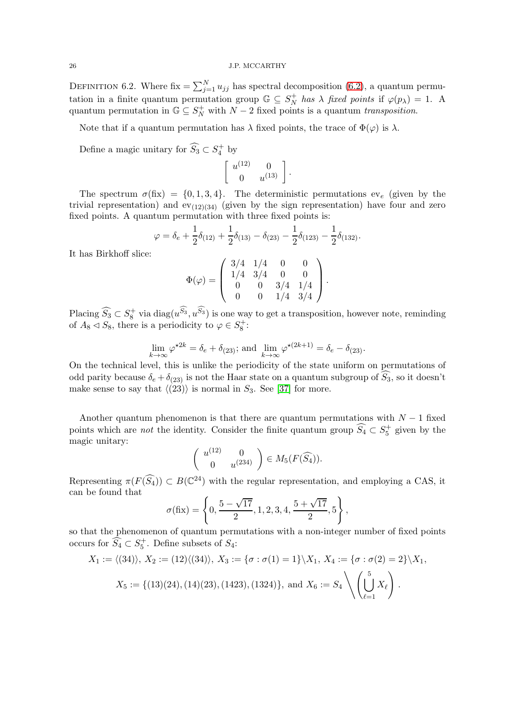DEFINITION 6.2. Where fix  $=\sum_{j=1}^{N} u_{jj}$  has spectral decomposition [\(6.2\)](#page-24-0), a quantum permutation in a finite quantum permutation group  $\mathbb{G} \subseteq S_N^+$  $N^+$  has  $\lambda$  fixed points if  $\varphi(p_\lambda) = 1$ . A quantum permutation in  $\mathbb{G} \subseteq S_N^+$  with  $N-2$  fixed points is a quantum transposition.

Note that if a quantum permutation has  $\lambda$  fixed points, the trace of  $\Phi(\varphi)$  is  $\lambda$ .

Define a magic unitary for  $\widehat{S}_3 \subset S_4^+$  by

$$
\left[\begin{array}{cc} u^{(12)} & 0 \\ 0 & u^{(13)} \end{array}\right].
$$

The spectrum  $\sigma$ (fix) = {0, 1, 3, 4}. The deterministic permutations ev<sub>e</sub> (given by the trivial representation) and  $ev_{(12)(34)}$  (given by the sign representation) have four and zero fixed points. A quantum permutation with three fixed points is:

$$
\varphi = \delta_e + \frac{1}{2}\delta_{(12)} + \frac{1}{2}\delta_{(13)} - \delta_{(23)} - \frac{1}{2}\delta_{(123)} - \frac{1}{2}\delta_{(132)}.
$$

It has Birkhoff slice:

$$
\Phi(\varphi) = \left( \begin{array}{cccc} 3/4 & 1/4 & 0 & 0 \\ 1/4 & 3/4 & 0 & 0 \\ 0 & 0 & 3/4 & 1/4 \\ 0 & 0 & 1/4 & 3/4 \end{array} \right).
$$

Placing  $\widehat{S_3} \subset S_8^+$  via diag $(u^{\widehat{S_3}}, u^{\widehat{S_3}})$  is one way to get a transposition, however note, reminding of  $A_8 \triangleleft S_8$ , there is a periodicity to  $\varphi \in S_8^+$ :

$$
\lim_{k \to \infty} \varphi^{\star 2k} = \delta_e + \delta_{(23)}; \text{ and } \lim_{k \to \infty} \varphi^{\star (2k+1)} = \delta_e - \delta_{(23)}.
$$

On the technical level, this is unlike the periodicity of the state uniform on permutations of odd parity because  $\delta_e + \delta_{(23)}$  is not the Haar state on a quantum subgroup of  $\widehat{S}_3$ , so it doesn't make sense to say that  $\langle (23) \rangle$  is normal in  $S_3$ . See [\[37\]](#page-32-21) for more.

Another quantum phenomenon is that there are quantum permutations with  $N-1$  fixed points which are *not* the identity. Consider the finite quantum group  $\widehat{S}_4 \subset S_5^+$  given by the magic unitary:

$$
\left(\begin{array}{cc}u^{(12)} & 0\\0 & u^{(234)}\end{array}\right)\in M_5(F(\widehat{S_4})).
$$

Representing  $\pi(F(\widehat{S_4})) \subset B(\mathbb{C}^{24})$  with the regular representation, and employing a CAS, it can be found that

$$
\sigma(fix) = \left\{ 0, \frac{5 - \sqrt{17}}{2}, 1, 2, 3, 4, \frac{5 + \sqrt{17}}{2}, 5 \right\},\,
$$

so that the phenomenon of quantum permutations with a non-integer number of fixed points occurs for  $\widehat{S}_4 \subset S_5^+$ . Define subsets of  $S_4$ :

$$
X_1 := \langle (34) \rangle, X_2 := (12) \langle (34) \rangle, X_3 := \{ \sigma : \sigma(1) = 1 \} \backslash X_1, X_4 := \{ \sigma : \sigma(2) = 2 \} \backslash X_1,
$$
  

$$
X_5 := \{ (13) (24), (14) (23), (1423), (1324) \}, \text{ and } X_6 := S_4 \setminus \left( \bigcup_{\ell=1}^5 X_\ell \right).
$$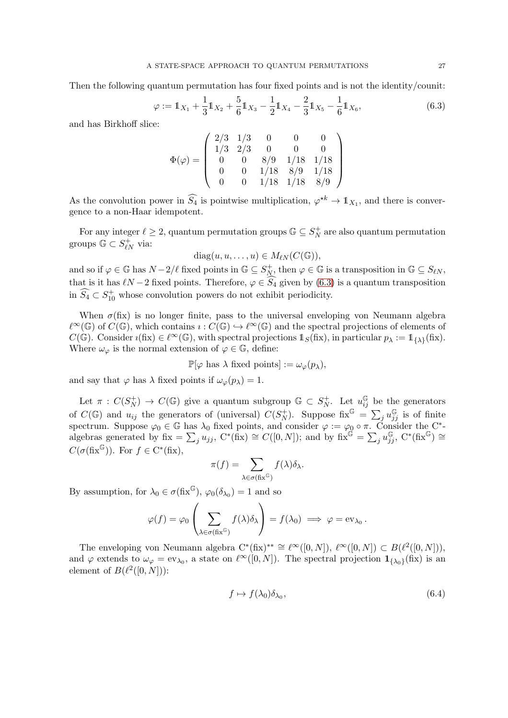Then the following quantum permutation has four fixed points and is not the identity/counit:

<span id="page-26-0"></span>
$$
\varphi := \mathbb{1}_{X_1} + \frac{1}{3} \mathbb{1}_{X_2} + \frac{5}{6} \mathbb{1}_{X_3} - \frac{1}{2} \mathbb{1}_{X_4} - \frac{2}{3} \mathbb{1}_{X_5} - \frac{1}{6} \mathbb{1}_{X_6},\tag{6.3}
$$

and has Birkhoff slice:

$$
\Phi(\varphi) = \left(\begin{array}{cccc} 2/3 & 1/3 & 0 & 0 & 0 \\ 1/3 & 2/3 & 0 & 0 & 0 \\ 0 & 0 & 8/9 & 1/18 & 1/18 \\ 0 & 0 & 1/18 & 8/9 & 1/18 \\ 0 & 0 & 1/18 & 1/18 & 8/9 \end{array}\right)
$$

As the convolution power in  $\widehat{S}_4$  is pointwise multiplication,  $\varphi^{*k} \to \mathbb{1}_{X_1}$ , and there is convergence to a non-Haar idempotent.

For any integer  $\ell \geq 2$ , quantum permutation groups  $\mathbb{G} \subseteq S_N^+$  $N<sub>N</sub><sup>+</sup>$  are also quantum permutation groups  $\mathbb{G} \subset S_{\ell N}^+$  via:

$$
diag(u, u, \ldots, u) \in M_{\ell N}(C(\mathbb{G})),
$$

and so if  $\varphi \in \mathbb{G}$  has  $N - 2/\ell$  fixed points in  $\mathbb{G} \subseteq S_N^+$  $\gamma_N^+$ , then  $\varphi \in \mathbb{G}$  is a transposition in  $\mathbb{G} \subseteq S_{\ell N}$ , that is it has  $\ell N-2$  fixed points. Therefore,  $\varphi \in S_4$  given by [\(6.3\)](#page-26-0) is a quantum transposition in  $\widehat{S}_4 \subset S_{10}^+$  whose convolution powers do not exhibit periodicity.

When  $\sigma$ (fix) is no longer finite, pass to the universal enveloping von Neumann algebra  $\ell^{\infty}(\mathbb{G})$  of  $C(\mathbb{G})$ , which contains  $\iota: C(\mathbb{G}) \hookrightarrow \ell^{\infty}(\mathbb{G})$  and the spectral projections of elements of  $C(\mathbb{G})$ . Consider  $\imath$ (fix)  $\in \ell^{\infty}(\mathbb{G})$ , with spectral projections  $1_S$ (fix), in particular  $p_{\lambda} := 1_{\{\lambda\}}$ (fix). Where  $\omega_{\varphi}$  is the normal extension of  $\varphi \in \mathbb{G}$ , define:

$$
\mathbb{P}[\varphi \text{ has } \lambda \text{ fixed points}] := \omega_{\varphi}(p_{\lambda}),
$$

and say that  $\varphi$  has  $\lambda$  fixed points if  $\omega_{\varphi}(p_{\lambda}) = 1$ .

Let  $\pi$  :  $C(S_N^+$  $N(N)$  →  $C(\mathbb{G})$  give a quantum subgroup  $\mathbb{G} \subset S_N^+$  $N^+$ . Let  $u_{ij}^{\mathbb{G}}$  be the generators of  $C(\mathbb{G})$  and  $u_{ij}$  the generators of (universal)  $C(S_N^+)$  $\mathcal{L}_{N}^{(+)}$ ). Suppose fix $\mathbb{G} = \sum_{j} u_{jj}^{\mathbb{G}}$  is of finite spectrum. Suppose  $\varphi_0 \in \mathbb{G}$  has  $\lambda_0$  fixed points, and consider  $\varphi := \varphi_0 \circ \pi$ . Consider the C<sup>\*</sup>algebras generated by  $fix = \sum_j u_{jj}$ ,  $C^*(fix) \cong C([0,N])$ ; and by  $fix^{\mathbb{G}} = \sum_j u_{jj}^{\mathbb{G}}$ ,  $C^*(fix^{\mathbb{G}}) \cong$  $C(\sigma(\text{fix}^{\mathbb{G}})).$  For  $f \in C^*(\text{fix}),$ 

$$
\pi(f) = \sum_{\lambda \in \sigma(fix^{\mathbb{G}})} f(\lambda) \delta_{\lambda}.
$$

By assumption, for  $\lambda_0 \in \sigma(fix^{\mathbb{G}}), \varphi_0(\delta_{\lambda_0}) = 1$  and so

$$
\varphi(f) = \varphi_0 \left( \sum_{\lambda \in \sigma(fix^G)} f(\lambda) \delta_\lambda \right) = f(\lambda_0) \implies \varphi = \mathrm{ev}_{\lambda_0}.
$$

The enveloping von Neumann algebra  $C^*(fix)^{**} \cong \ell^{\infty}([0,N])$ ,  $\ell^{\infty}([0,N]) \subset B(\ell^2([0,N]))$ , and  $\varphi$  extends to  $\omega_{\varphi} = \text{ev}_{\lambda_0}$ , a state on  $\ell^{\infty}([0,N])$ . The spectral projection  $\mathbf{1}_{\{\lambda_0\}}(\text{fix})$  is an element of  $B(\ell^2([0,N]))$ :

<span id="page-26-1"></span>
$$
f \mapsto f(\lambda_0)\delta_{\lambda_0},\tag{6.4}
$$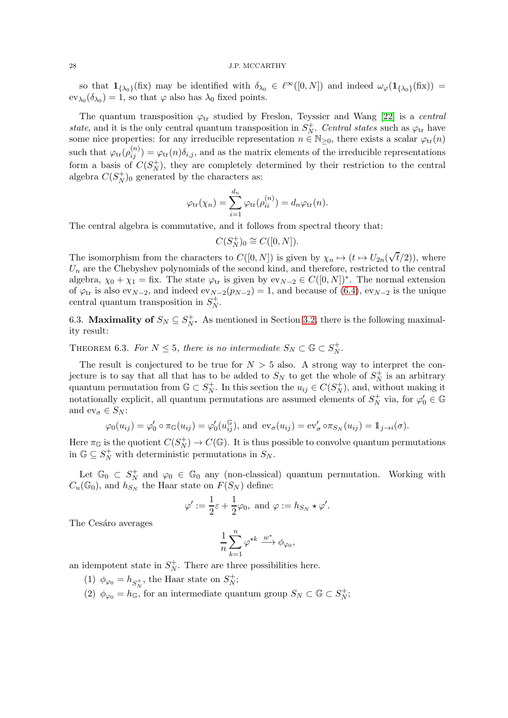so that  $\mathbf{1}_{\{\lambda_0\}}(\text{fix})$  may be identified with  $\delta_{\lambda_0} \in \ell^{\infty}([0,N])$  and indeed  $\omega_{\varphi}(\mathbf{1}_{\{\lambda_0\}}(\text{fix})) =$  $ev_{\lambda_0}(\delta_{\lambda_0}) = 1$ , so that  $\varphi$  also has  $\lambda_0$  fixed points.

The quantum transposition  $\varphi_{tr}$  studied by Freslon, Teyssier and Wang [\[22\]](#page-32-25) is a central state, and it is the only central quantum transposition in  $S_N^+$  $N^+$ . *Central states* such as  $\varphi_{tr}$  have some nice properties: for any irreducible representation  $n \in \mathbb{N}_{\geq 0}$ , there exists a scalar  $\varphi_{tr}(n)$ such that  $\varphi_{tr}(\rho_{ij}^{(n)}) = \varphi_{tr}(n)\delta_{i,j}$ , and as the matrix elements of the irreducible representations form a basis of  $C(S_N^+)$  $N<sub>N</sub>$ , they are completely determined by their restriction to the central algebra  $C(S_N^+$  $\binom{+}{N}$ <sup>0</sup> generated by the characters as:

$$
\varphi_{\text{tr}}(\chi_n) = \sum_{i=1}^{d_n} \varphi_{\text{tr}}(\rho_{ii}^{(n)}) = d_n \varphi_{\text{tr}}(n).
$$

The central algebra is commutative, and it follows from spectral theory that:

$$
C(S_N^+)_0 \cong C([0,N]).
$$

The isomorphism from the characters to  $C([0, N])$  is given by  $\chi_n \mapsto (t \mapsto U_{2n}(\sqrt{t}/2))$ , where  $U_n$  are the Chebyshev polynomials of the second kind, and therefore, restricted to the central algebra,  $\chi_0 + \chi_1 =$  fix. The state  $\varphi_{tr}$  is given by  $ev_{N-2} \in C([0,N])^*$ . The normal extension of  $\varphi_{\text{tr}}$  is also ev<sub>N−2</sub>, and indeed ev<sub>N−2</sub>( $p_{N-2}$ ) = 1, and because of [\(6.4\)](#page-26-1), ev<sub>N−2</sub> is the unique central quantum transposition in  $S_N^+$  $_N^+$ .

6.3. Maximality of  $S_N \subseteq S_N^+$  $_N^+$ . As mentioned in Section [3.2,](#page-11-0) there is the following maximality result:

THEOREM 6.3. For  $N \leq 5$ , there is no intermediate  $S_N \subset \mathbb{G} \subset S_N^+$  $_N^+$  .

The result is conjectured to be true for  $N > 5$  also. A strong way to interpret the conjecture is to say that all that has to be added to  $S_N$  to get the whole of  $S_N^+$  $N<sub>N</sub>$  is an arbitrary quantum permutation from  $\mathbb{G} \subset S_N^+$ <sup>+</sup><sub>N</sub>. In this section the  $u_{ij} \in C(S_N^+)$  $\binom{+}{N}$ , and, without making it notationally explicit, all quantum permutations are assumed elements of  $S_N^+$  $\gamma_N^+$  via, for  $\varphi'_0 \in \mathbb{G}$ and  $ev_{\sigma} \in S_N$ :

$$
\varphi_0(u_{ij}) = \varphi'_0 \circ \pi_{\mathbb{G}}(u_{ij}) = \varphi'_0(u_{ij}^{\mathbb{G}}), \text{ and } \operatorname{ev}_{\sigma}(u_{ij}) = \operatorname{ev}'_{\sigma} \circ \pi_{S_N}(u_{ij}) = 1_{j \to i}(\sigma).
$$

Here  $\pi_{\mathbb{G}}$  is the quotient  $C(S_N^+)$  $N(N) \to C(\mathbb{G})$ . It is thus possible to convolve quantum permutations in  $\mathbb{G} \subseteq S_N^+$  with deterministic permutations in  $S_N$ .

Let  $\mathbb{G}_0 \subset S_N^+$  $\gamma_N^+$  and  $\varphi_0 \in \mathbb{G}_0$  any (non-classical) quantum permutation. Working with  $C_u(\mathbb{G}_0)$ , and  $h_{S_N}$  the Haar state on  $F(S_N)$  define:

$$
\varphi':=\frac{1}{2}\varepsilon+\frac{1}{2}\varphi_0,\text{ and } \varphi:=h_{S_N}\star\varphi'.
$$

The Cesáro averages

$$
\frac{1}{n}\sum_{k=1}^n\varphi^{\star k}\xrightarrow{w^*}\phi_{\varphi_0},
$$

an idempotent state in  $S_N^+$  $_N^+$ . There are three possibilities here.

- (1)  $\phi_{\varphi_0} = h_{S^+_N}$ , the Haar state on  $S^+_N$  $_N^+;$
- (2)  $\phi_{\varphi_0} = h_{\mathbb{G}}$ , for an intermediate quantum group  $S_N \subset \mathbb{G} \subset S_N^+$  $_N^+;$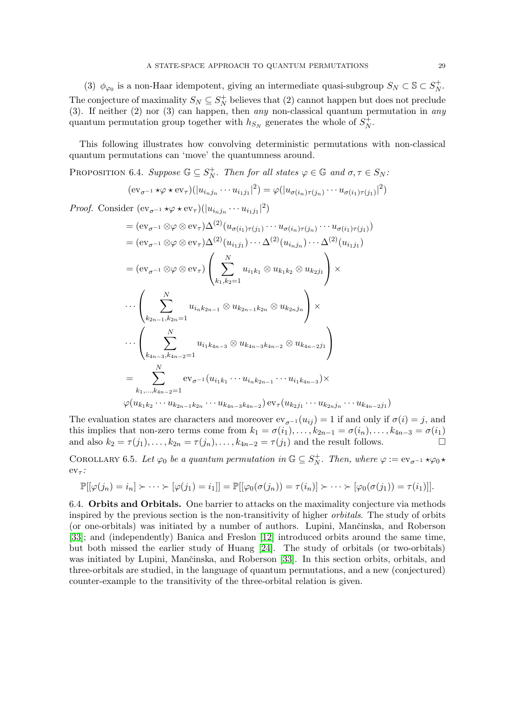(3)  $\phi_{\varphi_0}$  is a non-Haar idempotent, giving an intermediate quasi-subgroup  $S_N \subset \mathbb{S} \subset S_N^+$  $_N^+$ . The conjecture of maximality  $S_N \subseteq S_N^+$  believes that (2) cannot happen but does not preclude (3). If neither (2) nor (3) can happen, then any non-classical quantum permutation in any quantum permutation group together with  $h_{S_N}$  generates the whole of  $S_N^+$  $_N^+$ .

This following illustrates how convolving deterministic permutations with non-classical quantum permutations can 'move' the quantumness around.

Proposition 6.4. Suppose  $\mathbb{G} \subseteq S_N^+$  $N^+$ . Then for all states  $\varphi \in \mathbb{G}$  and  $\sigma, \tau \in S_N$ :

$$
(\mathrm{ev}_{\sigma^{-1}} \star \varphi \star \mathrm{ev}_{\tau})(|u_{i_nj_n} \cdots u_{i_1j_1}|^2) = \varphi(|u_{\sigma(i_n)\tau(j_n)} \cdots u_{\sigma(i_1)\tau(j_1)}|^2)
$$

*Proof.* Consider  $(\mathrm{ev}_{\sigma^{-1}} \star \varphi \star \mathrm{ev}_{\tau})(|u_{i_nj_n} \cdots u_{i_1j_1}|^2)$ 

$$
= (ev_{\sigma^{-1}} \otimes \varphi \otimes ev_{\tau})\Delta^{(2)}(u_{\sigma(i_1)\tau(j_1)} \cdots u_{\sigma(i_n)\tau(j_n)} \cdots u_{\sigma(i_1)\tau(j_1)})
$$
  
\n
$$
= (ev_{\sigma^{-1}} \otimes \varphi \otimes ev_{\tau})\Delta^{(2)}(u_{i_1j_1}) \cdots \Delta^{(2)}(u_{i_nj_n}) \cdots \Delta^{(2)}(u_{i_1j_1})
$$
  
\n
$$
= (ev_{\sigma^{-1}} \otimes \varphi \otimes ev_{\tau}) \left( \sum_{k_1,k_2=1}^{N} u_{i_1k_1} \otimes u_{k_1k_2} \otimes u_{k_2j_1} \right) \times
$$
  
\n
$$
\cdots \left( \sum_{k_{2n-1},k_{2n}=1}^{N} u_{i_nk_{2n-1}} \otimes u_{k_{2n-1}k_{2n}} \otimes u_{k_{2n}j_n} \right) \times
$$
  
\n
$$
\cdots \left( \sum_{k_{4n-3},k_{4n-2}=1}^{N} u_{i_1k_{4n-3}} \otimes u_{k_{4n-3}k_{4n-2}} \otimes u_{k_{4n-2}j_1} \right)
$$
  
\n
$$
= \sum_{k_1,\dots,k_{4n-2}=1}^{N} ev_{\sigma^{-1}}(u_{i_1k_1} \cdots u_{i_nk_{2n-1}} \cdots u_{i_1k_{4n-3}}) \times
$$
  
\n
$$
\varphi(u_{k_1k_2} \cdots u_{k_{2n-1}k_{2n}} \cdots u_{k_{4n-3}k_{4n-2}}) ev_{\tau}(u_{k_2j_1} \cdots u_{k_{2n}j_n} \cdots u_{k_{4n-2}j_1})
$$

The evaluation states are characters and moreover  $ev_{\sigma^{-1}}(u_{ij}) = 1$  if and only if  $\sigma(i) = j$ , and this implies that non-zero terms come from  $k_1 = \sigma(i_1), \ldots, k_{2n-1} = \sigma(i_n), \ldots, k_{4n-3} = \sigma(i_1)$ and also  $k_2 = \tau(j_1), \ldots, k_{2n} = \tau(j_n), \ldots, k_{4n-2} = \tau(j_1)$  and the result follows.

COROLLARY 6.5. Let  $\varphi_0$  be a quantum permutation in  $\mathbb{G} \subseteq S_N^+$  $N^+$ . Then, where  $\varphi := ev_{\sigma^{-1}} \star \varphi_0 \star$  $ev_{\tau}$ :

$$
\mathbb{P}[[\varphi(j_n)=i_n]\succ\cdots\succ[\varphi(j_1)=i_1]]=\mathbb{P}[[\varphi_0(\sigma(j_n))=\tau(i_n)]\succ\cdots\succ[\varphi_0(\sigma(j_1))=\tau(i_1)]].
$$

6.4. Orbits and Orbitals. One barrier to attacks on the maximality conjecture via methods inspired by the previous section is the non-transitivity of higher orbitals. The study of orbits (or one-orbitals) was initiated by a number of authors. Lupini, Mančinska, and Roberson [\[33\]](#page-32-1); and (independently) Banica and Freslon [\[12\]](#page-32-26) introduced orbits around the same time, but both missed the earlier study of Huang [\[24\]](#page-32-27). The study of orbitals (or two-orbitals) was initiated by Lupini, Mančinska, and Roberson [\[33\]](#page-32-1). In this section orbits, orbitals, and three-orbitals are studied, in the language of quantum permutations, and a new (conjectured) counter-example to the transitivity of the three-orbital relation is given.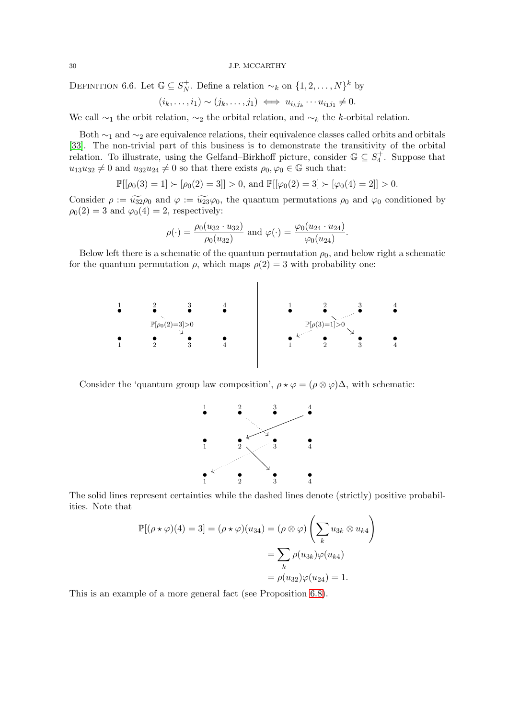DEFINITION 6.6. Let  $\mathbb{G} \subseteq S_N^+$ <sup>+</sup><sub>N</sub>. Define a relation  $\sim_k$  on  $\{1, 2, \ldots, N\}^k$  by

$$
(i_k,\ldots,i_1)\sim (j_k,\ldots,j_1)\iff u_{i_kj_k}\cdots u_{i_1j_1}\neq 0.
$$

We call  $\sim_1$  the orbit relation,  $\sim_2$  the orbital relation, and  $\sim_k$  the k-orbital relation.

Both  $\sim_1$  and  $\sim_2$  are equivalence relations, their equivalence classes called orbits and orbitals [\[33\]](#page-32-1). The non-trivial part of this business is to demonstrate the transitivity of the orbital relation. To illustrate, using the Gelfand–Birkhoff picture, consider  $\mathbb{G} \subseteq S_4^+$ . Suppose that  $u_{13}u_{32} \neq 0$  and  $u_{32}u_{24} \neq 0$  so that there exists  $\rho_0, \varphi_0 \in \mathbb{G}$  such that:

$$
\mathbb{P}[[\rho_0(3) = 1] \succ [\rho_0(2) = 3]] > 0, \text{ and } \mathbb{P}[[\varphi_0(2) = 3] \succ [\varphi_0(4) = 2]] > 0.
$$

Consider  $\rho := \widetilde{u_{22}}\rho_0$  and  $\varphi := \widetilde{u_{23}}\varphi_0$ , the quantum permutations  $\rho_0$  and  $\varphi_0$  conditioned by  $\rho_0(2) = 3$  and  $\varphi_0(4) = 2$ , respectively:

$$
\rho(\cdot) = \frac{\rho_0(u_{32} \cdot u_{32})}{\rho_0(u_{32})}
$$
 and  $\varphi(\cdot) = \frac{\varphi_0(u_{24} \cdot u_{24})}{\varphi_0(u_{24})}$ 

.

Below left there is a schematic of the quantum permutation  $\rho_0$ , and below right a schematic for the quantum permutation  $\rho$ , which maps  $\rho(2) = 3$  with probability one:



Consider the 'quantum group law composition',  $\rho \star \varphi = (\rho \otimes \varphi) \Delta$ , with schematic:



The solid lines represent certainties while the dashed lines denote (strictly) positive probabilities. Note that

$$
\mathbb{P}[(\rho * \varphi)(4) = 3] = (\rho * \varphi)(u_{34}) = (\rho \otimes \varphi) \left(\sum_{k} u_{3k} \otimes u_{k4}\right)
$$

$$
= \sum_{k} \rho(u_{3k}) \varphi(u_{k4})
$$

$$
= \rho(u_{32}) \varphi(u_{24}) = 1.
$$

This is an example of a more general fact (see Proposition [6.8\)](#page-30-0).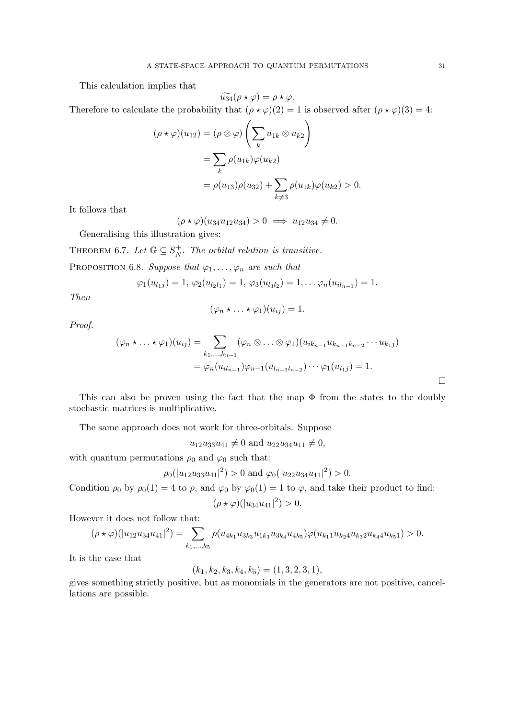This calculation implies that

$$
\widetilde{u_{34}}(\rho \star \varphi) = \rho \star \varphi.
$$

Therefore to calculate the probability that  $(\rho \star \varphi)(2) = 1$  is observed after  $(\rho \star \varphi)(3) = 4$ :

$$
(\rho * \varphi)(u_{12}) = (\rho \otimes \varphi) \left(\sum_{k} u_{1k} \otimes u_{k2}\right)
$$
  
= 
$$
\sum_{k} \rho(u_{1k}) \varphi(u_{k2})
$$
  
= 
$$
\rho(u_{13}) \rho(u_{32}) + \sum_{k \neq 3} \rho(u_{1k}) \varphi(u_{k2}) > 0.
$$

It follows that

$$
(\rho \star \varphi)(u_{34}u_{12}u_{34}) > 0 \implies u_{12}u_{34} \neq 0.
$$

Generalising this illustration gives:

THEOREM 6.7. Let  $\mathbb{G} \subseteq S_N^+$  $_N^+$ . The orbital relation is transitive.

<span id="page-30-0"></span>PROPOSITION 6.8. Suppose that  $\varphi_1, \ldots, \varphi_n$  are such that

$$
\varphi_1(u_{l_1j})=1, \ \varphi_2(u_{l_2l_1})=1, \ \varphi_3(u_{l_3l_2})=1,\ldots \varphi_n(u_{il_{n-1}})=1.
$$

Then

$$
(\varphi_n \star \ldots \star \varphi_1)(u_{ij}) = 1.
$$

Proof.

$$
(\varphi_n \star \ldots \star \varphi_1)(u_{ij}) = \sum_{k_1, \ldots, k_{n-1}} (\varphi_n \otimes \ldots \otimes \varphi_1)(u_{ik_{n-1}} u_{k_{n-1}k_{n-2}} \cdots u_{k_1 j})
$$
  
=  $\varphi_n(u_{il_{n-1}}) \varphi_{n-1}(u_{l_{n-1}l_{n-2}}) \cdots \varphi_1(u_{l_1 j}) = 1.$ 

This can also be proven using the fact that the map  $\Phi$  from the states to the doubly stochastic matrices is multiplicative.

The same approach does not work for three-orbitals. Suppose

 $u_{12}u_{33}u_{41} \neq 0$  and  $u_{22}u_{34}u_{11} \neq 0$ ,

with quantum permutations  $\rho_0$  and  $\varphi_0$  such that:

$$
\rho_0(|u_{12}u_{33}u_{41}|^2) > 0
$$
 and  $\varphi_0(|u_{22}u_{34}u_{11}|^2) > 0$ .

Condition  $\rho_0$  by  $\rho_0(1) = 4$  to  $\rho$ , and  $\varphi_0$  by  $\varphi_0(1) = 1$  to  $\varphi$ , and take their product to find:

$$
(\rho \star \varphi)(|u_{34}u_{41}|^2) > 0.
$$

However it does not follow that:

$$
(\rho \star \varphi)(|u_{12}u_{34}u_{41}|^2) = \sum_{k_1,\dots,k_5} \rho(u_{4k_1}u_{3k_3}u_{1k_3}u_{3k_4}u_{4k_5})\varphi(u_{k_11}u_{k_24}u_{k_32}u_{k_4}u_{k_51}) > 0.
$$

It is the case that

$$
(k_1, k_2, k_3, k_4, k_5) = (1, 3, 2, 3, 1),
$$

gives something strictly positive, but as monomials in the generators are not positive, cancellations are possible.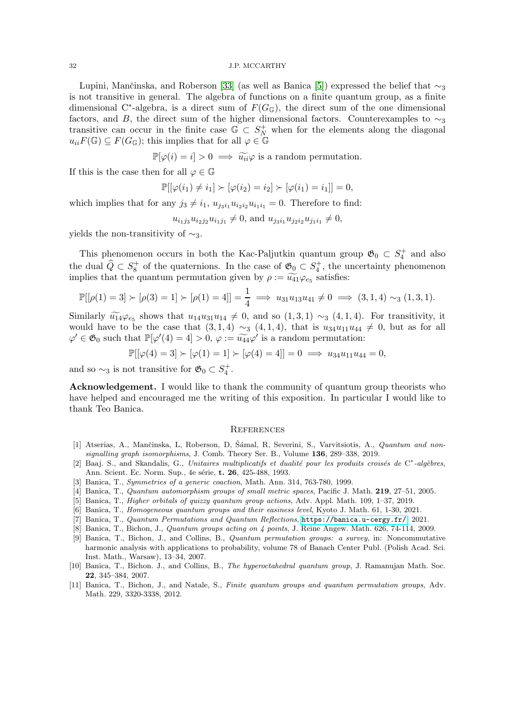Lupini, Mančinska, and Roberson [\[33\]](#page-32-1) (as well as Banica [\[5\]](#page-31-10)) expressed the belief that  $\sim_3$ is not transitive in general. The algebra of functions on a finite quantum group, as a finite dimensional C<sup>\*</sup>-algebra, is a direct sum of  $F(G<sub>G</sub>)$ , the direct sum of the one dimensional factors, and B, the direct sum of the higher dimensional factors. Counterexamples to  $\sim_3$ transitive can occur in the finite case  $\mathbb{G} \subset S_N^+$  when for the elements along the diagonal  $u_{ii}F(\mathbb{G}) \subseteq F(G_{\mathbb{G}})$ ; this implies that for all  $\varphi \in \mathbb{G}$ 

 $\mathbb{P}[\varphi(i) = i] > 0 \implies \widetilde{u_{ii}}\varphi$  is a random permutation.

If this is the case then for all  $\varphi \in \mathbb{G}$ 

$$
\mathbb{P}[[\varphi(i_1) \neq i_1] \succ [\varphi(i_2) = i_2] \succ [\varphi(i_1) = i_1]] = 0,
$$

which implies that for any  $j_3 \neq i_1$ ,  $u_{i_3i_1} u_{i_2i_2} u_{i_1i_1} = 0$ . Therefore to find:

 $u_{i_1j_3}u_{i_2j_2}u_{i_1j_1} \neq 0$ , and  $u_{j_3i_1}u_{j_2i_2}u_{j_1i_1} \neq 0$ ,

yields the non-transitivity of  $\sim_3$ .

This phenomenon occurs in both the Kac-Paljutkin quantum group  $\mathfrak{G}_0 \subset S_4^+$  and also the dual  $\widehat{Q} \subset S_8^+$  of the quaternions. In the case of  $\mathfrak{G}_0 \subset S_4^+$ , the uncertainty phenomenon implies that the quantum permutation given by  $\rho := \widetilde{u_{41}} \varphi_{e_5}$  satisfies:

$$
\mathbb{P}[[\rho(1) = 3] \succ [\rho(3) = 1] \succ [\rho(1) = 4]] = \frac{1}{4} \implies u_{31}u_{13}u_{41} \neq 0 \implies (3, 1, 4) \sim_3 (1, 3, 1).
$$

Similarly  $\widetilde{u_1}4\varphi_{e_5}$  shows that  $u_1u_3u_14 \neq 0$ , and so  $(1,3,1) \sim_3 (4,1,4)$ . For transitivity, it would have to be the case that  $(3,1,4) \sim_3 (4,1,4)$ , that is  $u_{34}u_{11}u_{44} \neq 0$ , but as for all  $\varphi' \in \mathfrak{G}_0$  such that  $\mathbb{P}[\varphi'(4) = 4] > 0$ ,  $\varphi := \widetilde{u_{44}} \varphi'$  is a random permutation:

 $\mathbb{P}[[\varphi(4) = 3] \succ [\varphi(1) = 1] \succ [\varphi(4) = 4]] = 0 \implies u_{34}u_{11}u_{44} = 0,$ 

and so  $\sim_3$  is not transitive for  $\mathfrak{G}_0 \subset S_4^+$ .

Acknowledgement. I would like to thank the community of quantum group theorists who have helped and encouraged me the writing of this exposition. In particular I would like to thank Teo Banica.

## **REFERENCES**

- <span id="page-31-2"></span>[1] Atserias, A., Mančinska, L. Roberson, D. Šámal, R. Severini, S., Varvitsiotis, A., *Quantum and non*signalling graph isomorphisms, J. Comb. Theory Ser. B., Volume  $136, 289-338, 2019$ .
- <span id="page-31-3"></span>[2] Baaj. S., and Skandalis, G., Unitaires multiplicatifs et dualité pour les produits croisés de C\*-algèbres, Ann. Scient. Ec. Norm. Sup., 4e série, t. 26, 425-488, 1993.
- <span id="page-31-8"></span><span id="page-31-6"></span>[3] Banica, T., Symmetries of a generic coaction, Math. Ann. 314, 763-780, 1999.
- <span id="page-31-10"></span>[4] Banica, T., Quantum automorphism groups of small metric spaces, Pacific J. Math. 219, 27–51, 2005.
- <span id="page-31-7"></span>[5] Banica, T., Higher orbitals of quizzy quantum group actions, Adv. Appl. Math. 109, 1–37, 2019.
- <span id="page-31-1"></span>[6] Banica, T., Homogeneous quantum groups and their easiness level, Kyoto J. Math. 61, 1-30, 2021.
- <span id="page-31-5"></span>[7] Banica, T., Quantum Permutations and Quantum Reflections, <https://banica.u-cergy.fr/>, 2021.
- <span id="page-31-0"></span>[8] Banica, T., Bichon, J., Quantum groups acting on 4 points, J. Reine Angew. Math. 626, 74-114, 2009.
- [9] Banica, T., Bichon, J., and Collins, B., Quantum permutation groups: a survey, in: Noncommutative harmonic analysis with applications to probability, volume 78 of Banach Center Publ. (Polish Acad. Sci. Inst. Math., Warsaw), 13–34, 2007.
- <span id="page-31-9"></span>[10] Banica, T., Bichon. J., and Collins, B., The hyperoctahedral quantum group, J. Ramanujan Math. Soc. 22, 345–384, 2007.
- <span id="page-31-4"></span>[11] Banica, T., Bichon, J., and Natale, S., Finite quantum groups and quantum permutation groups, Adv. Math. 229, 3320-3338, 2012.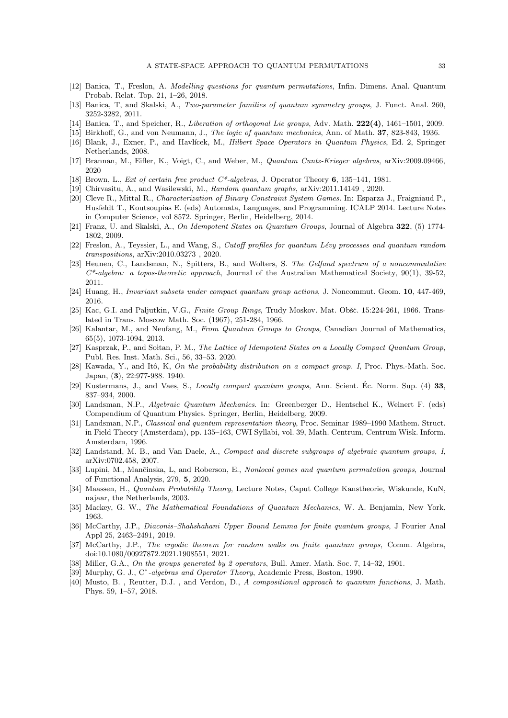- <span id="page-32-26"></span><span id="page-32-18"></span>[12] Banica, T., Freslon, A. Modelling questions for quantum permutations, Infin. Dimens. Anal. Quantum Probab. Relat. Top. 21, 1–26, 2018.
- <span id="page-32-15"></span>[13] Banica, T, and Skalski, A., Two-parameter families of quantum symmetry groups, J. Funct. Anal. 260, 3252-3282, 2011.
- <span id="page-32-8"></span>[14] Banica, T., and Speicher, R., Liberation of orthogonal Lie groups, Adv. Math. 222(4), 1461–1501, 2009.
- <span id="page-32-16"></span>[15] Birkhoff, G., and von Neumann, J., The logic of quantum mechanics, Ann. of Math. 37, 823-843, 1936.
- <span id="page-32-2"></span>[16] Blank, J., Exner, P., and Havlícek, M., *Hilbert Space Operators in Quantum Physics*, Ed. 2, Springer Netherlands, 2008.
- <span id="page-32-14"></span>[17] Brannan, M., Eifler, K., Voigt, C., and Weber, M., Quantum Cuntz-Krieger algebras, arXiv:2009.09466, 2020
- <span id="page-32-3"></span>[18] Brown, L., Ext of certain free product  $C^*$ -algebras, J. Operator Theory 6, 135–141, 1981.
- <span id="page-32-4"></span>[19] Chirvasitu, A., and Wasilewski, M., Random quantum graphs, arXiv:2011.14149 , 2020.
- [20] Cleve R., Mittal R., Characterization of Binary Constraint System Games. In: Esparza J., Fraigniaud P., Husfeldt T., Koutsoupias E. (eds) Automata, Languages, and Programming. ICALP 2014. Lecture Notes in Computer Science, vol 8572. Springer, Berlin, Heidelberg, 2014.
- <span id="page-32-25"></span><span id="page-32-23"></span>[21] Franz, U. and Skalski, A., On Idempotent States on Quantum Groups, Journal of Algebra 322, (5) 1774- 1802, 2009.
- [22] Freslon, A., Teyssier, L., and Wang, S., Cutoff profiles for quantum Lévy processes and quantum random transpositions, arXiv:2010.03273 , 2020.
- <span id="page-32-12"></span>[23] Heunen, C., Landsman, N., Spitters, B., and Wolters, S. The Gelfand spectrum of a noncommutative  $C^*$ -algebra: a topos-theoretic approach, Journal of the Australian Mathematical Society, 90(1), 39-52, 2011.
- <span id="page-32-27"></span><span id="page-32-19"></span>[24] Huang, H., Invariant subsets under compact quantum group actions, J. Noncommut. Geom. 10, 447-469, 2016.
- [25] Kac, G.I. and Paljutkin, V.G., Finite Group Rings, Trudy Moskov. Mat. Obšč. 15:224-261, 1966. Translated in Trans. Moscow Math. Soc. (1967), 251-284, 1966.
- <span id="page-32-17"></span>[26] Kalantar, M., and Neufang, M., From Quantum Groups to Groups, Canadian Journal of Mathematics, 65(5), 1073-1094, 2013.
- <span id="page-32-24"></span>[27] Kasprzak, P., and Soltan, P. M., The Lattice of Idempotent States on a Locally Compact Quantum Group, Publ. Res. Inst. Math. Sci., 56, 33–53. 2020.
- <span id="page-32-20"></span>[28] Kawada, Y., and Itô, K, On the probability distribution on a compact group. I, Proc. Phys.-Math. Soc. Japan, (3), 22:977-988. 1940.
- <span id="page-32-0"></span>[29] Kustermans, J., and Vaes, S., *Locally compact quantum groups*, Ann. Scient. Éc. Norm. Sup. (4) 33, 837–934, 2000.
- <span id="page-32-10"></span>[30] Landsman, N.P., Algebraic Quantum Mechanics. In: Greenberger D., Hentschel K., Weinert F. (eds) Compendium of Quantum Physics. Springer, Berlin, Heidelberg, 2009.
- <span id="page-32-13"></span>[31] Landsman, N.P., Classical and quantum representation theory, Proc. Seminar 1989–1990 Mathem. Struct. in Field Theory (Amsterdam), pp. 135–163, CWI Syllabi, vol. 39, Math. Centrum, Centrum Wisk. Inform. Amsterdam, 1996.
- <span id="page-32-22"></span>[32] Landstand, M. B., and Van Daele, A., Compact and discrete subgroups of algebraic quantum groups, I, arXiv:0702.458, 2007.
- <span id="page-32-1"></span>[33] Lupini, M., Mančinska, L, and Roberson, E., Nonlocal games and quantum permutation groups, Journal of Functional Analysis, 279, 5, 2020.
- <span id="page-32-11"></span>[34] Maassen, H., Quantum Probability Theory, Lecture Notes, Caput College Kanstheorie, Wiskunde, KuN, najaar, the Netherlands, 2003.
- <span id="page-32-9"></span>[35] Mackey, G. W., The Mathematical Foundations of Quantum Mechanics, W. A. Benjamin, New York, 1963.
- <span id="page-32-7"></span>[36] McCarthy, J.P., Diaconis–Shahshahani Upper Bound Lemma for finite quantum groups, J Fourier Anal Appl 25, 2463–2491, 2019.
- <span id="page-32-21"></span>[37] McCarthy, J.P., The ergodic theorem for random walks on finite quantum groups, Comm. Algebra, doi:10.1080/00927872.2021.1908551, 2021.
- <span id="page-32-6"></span>[38] Miller, G.A., On the groups generated by 2 operators, Bull. Amer. Math. Soc. 7, 14–32, 1901.
- <span id="page-32-5"></span>[39] Murphy, G. J., C<sup>\*</sup>-algebras and Operator Theory, Academic Press, Boston, 1990.
- [40] Musto, B. , Reutter, D.J. , and Verdon, D., A compositional approach to quantum functions, J. Math. Phys. 59, 1–57, 2018.